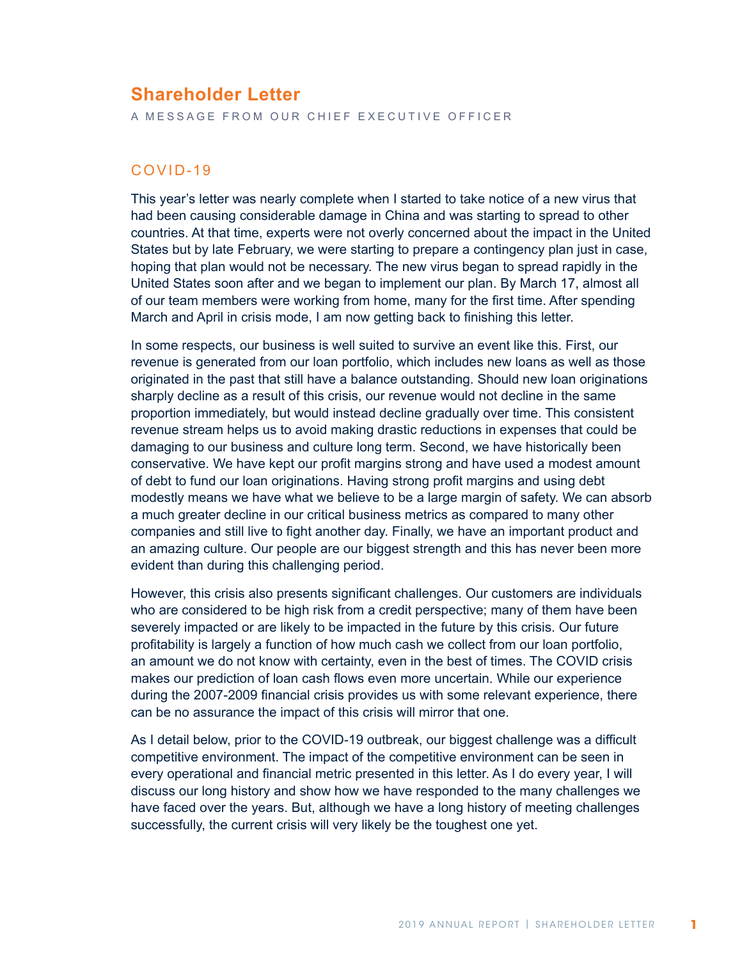# **Shareholder Letter**

A MESSAGE FROM OUR CHIEF EXECUTIVE OFFICER

### COVID-19

This year's letter was nearly complete when I started to take notice of a new virus that had been causing considerable damage in China and was starting to spread to other countries. At that time, experts were not overly concerned about the impact in the United States but by late February, we were starting to prepare a contingency plan just in case, hoping that plan would not be necessary. The new virus began to spread rapidly in the United States soon after and we began to implement our plan. By March 17, almost all of our team members were working from home, many for the first time. After spending March and April in crisis mode, I am now getting back to finishing this letter.

In some respects, our business is well suited to survive an event like this. First, our revenue is generated from our loan portfolio, which includes new loans as well as those originated in the past that still have a balance outstanding. Should new loan originations sharply decline as a result of this crisis, our revenue would not decline in the same proportion immediately, but would instead decline gradually over time. This consistent revenue stream helps us to avoid making drastic reductions in expenses that could be damaging to our business and culture long term. Second, we have historically been conservative. We have kept our profit margins strong and have used a modest amount of debt to fund our loan originations. Having strong profit margins and using debt modestly means we have what we believe to be a large margin of safety. We can absorb a much greater decline in our critical business metrics as compared to many other companies and still live to fight another day. Finally, we have an important product and an amazing culture. Our people are our biggest strength and this has never been more evident than during this challenging period.

However, this crisis also presents significant challenges. Our customers are individuals who are considered to be high risk from a credit perspective; many of them have been severely impacted or are likely to be impacted in the future by this crisis. Our future profitability is largely a function of how much cash we collect from our loan portfolio, an amount we do not know with certainty, even in the best of times. The COVID crisis makes our prediction of loan cash flows even more uncertain. While our experience during the 2007-2009 financial crisis provides us with some relevant experience, there can be no assurance the impact of this crisis will mirror that one.

As I detail below, prior to the COVID-19 outbreak, our biggest challenge was a difficult competitive environment. The impact of the competitive environment can be seen in every operational and financial metric presented in this letter. As I do every year, I will discuss our long history and show how we have responded to the many challenges we have faced over the years. But, although we have a long history of meeting challenges successfully, the current crisis will very likely be the toughest one yet.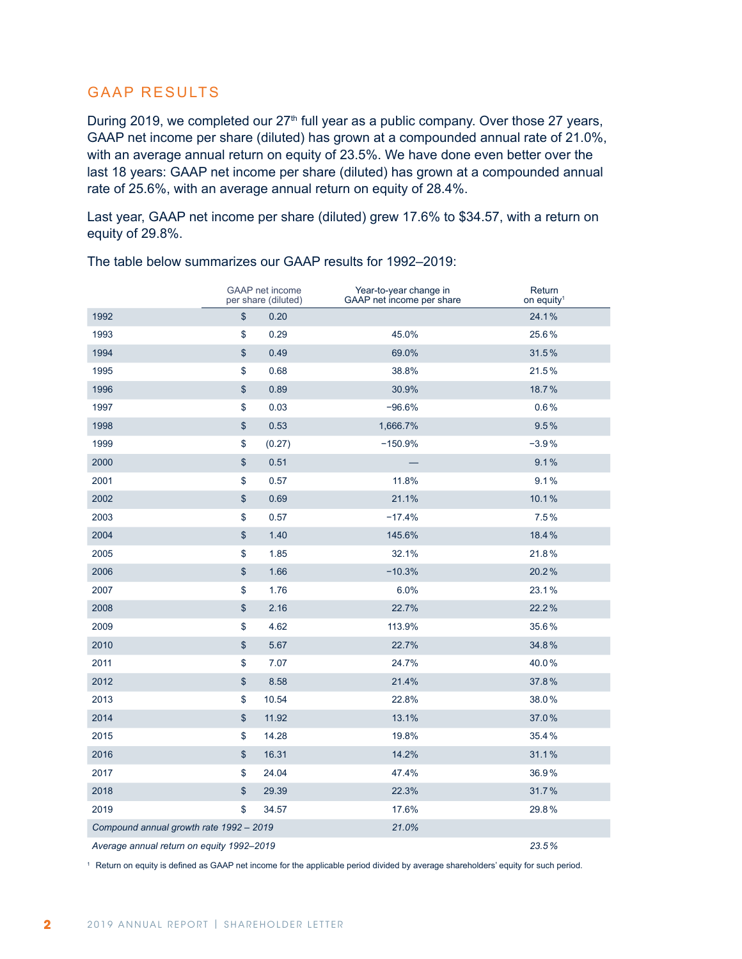## GAAP RESULTS

During 2019, we completed our  $27<sup>th</sup>$  full year as a public company. Over those 27 years, GAAP net income per share (diluted) has grown at a compounded annual rate of 21.0%, with an average annual return on equity of 23.5%. We have done even better over the last 18 years: GAAP net income per share (diluted) has grown at a compounded annual rate of 25.6%, with an average annual return on equity of 28.4%.

Last year, GAAP net income per share (diluted) grew 17.6% to \$34.57, with a return on equity of 29.8%.

|                                           |               | <b>GAAP</b> net income<br>per share (diluted) | Year-to-year change in<br>GAAP net income per share | Return<br>on equity <sup>1</sup> |
|-------------------------------------------|---------------|-----------------------------------------------|-----------------------------------------------------|----------------------------------|
| 1992                                      | \$            | 0.20                                          |                                                     | 24.1%                            |
| 1993                                      | \$            | 0.29                                          | 45.0%                                               | 25.6%                            |
| 1994                                      | $\mathsf{\$}$ | 0.49                                          | 69.0%                                               | 31.5%                            |
| 1995                                      | \$            | 0.68                                          | 38.8%                                               | 21.5%                            |
| 1996                                      | \$            | 0.89                                          | 30.9%                                               | 18.7%                            |
| 1997                                      | \$            | 0.03                                          | $-96.6%$                                            | 0.6%                             |
| 1998                                      | \$            | 0.53                                          | 1,666.7%                                            | 9.5%                             |
| 1999                                      | \$            | (0.27)                                        | $-150.9%$                                           | $-3.9%$                          |
| 2000                                      | \$            | 0.51                                          |                                                     | 9.1%                             |
| 2001                                      | \$            | 0.57                                          | 11.8%                                               | 9.1%                             |
| 2002                                      | \$            | 0.69                                          | 21.1%                                               | 10.1%                            |
| 2003                                      | \$            | 0.57                                          | $-17.4%$                                            | 7.5%                             |
| 2004                                      | \$            | 1.40                                          | 145.6%                                              | 18.4%                            |
| 2005                                      | \$            | 1.85                                          | 32.1%                                               | 21.8%                            |
| 2006                                      | \$            | 1.66                                          | $-10.3%$                                            | 20.2%                            |
| 2007                                      | \$            | 1.76                                          | 6.0%                                                | 23.1%                            |
| 2008                                      | \$            | 2.16                                          | 22.7%                                               | 22.2%                            |
| 2009                                      | \$            | 4.62                                          | 113.9%                                              | 35.6%                            |
| 2010                                      | \$            | 5.67                                          | 22.7%                                               | 34.8%                            |
| 2011                                      | \$            | 7.07                                          | 24.7%                                               | 40.0%                            |
| 2012                                      | \$            | 8.58                                          | 21.4%                                               | 37.8%                            |
| 2013                                      | \$            | 10.54                                         | 22.8%                                               | 38.0%                            |
| 2014                                      | $\$\$         | 11.92                                         | 13.1%                                               | 37.0%                            |
| 2015                                      | \$            | 14.28                                         | 19.8%                                               | 35.4%                            |
| 2016                                      | \$            | 16.31                                         | 14.2%                                               | 31.1%                            |
| 2017                                      | \$            | 24.04                                         | 47.4%                                               | 36.9%                            |
| 2018                                      | $\,$          | 29.39                                         | 22.3%                                               | 31.7%                            |
| 2019                                      | \$            | 34.57                                         | 17.6%                                               | 29.8%                            |
| Compound annual growth rate 1992 - 2019   |               |                                               | 21.0%                                               |                                  |
| Average annual return on equity 1992-2019 |               |                                               |                                                     | 23.5%                            |

The table below summarizes our GAAP results for 1992–2019:

Return on equity is defined as GAAP net income for the applicable period divided by average shareholders' equity for such period.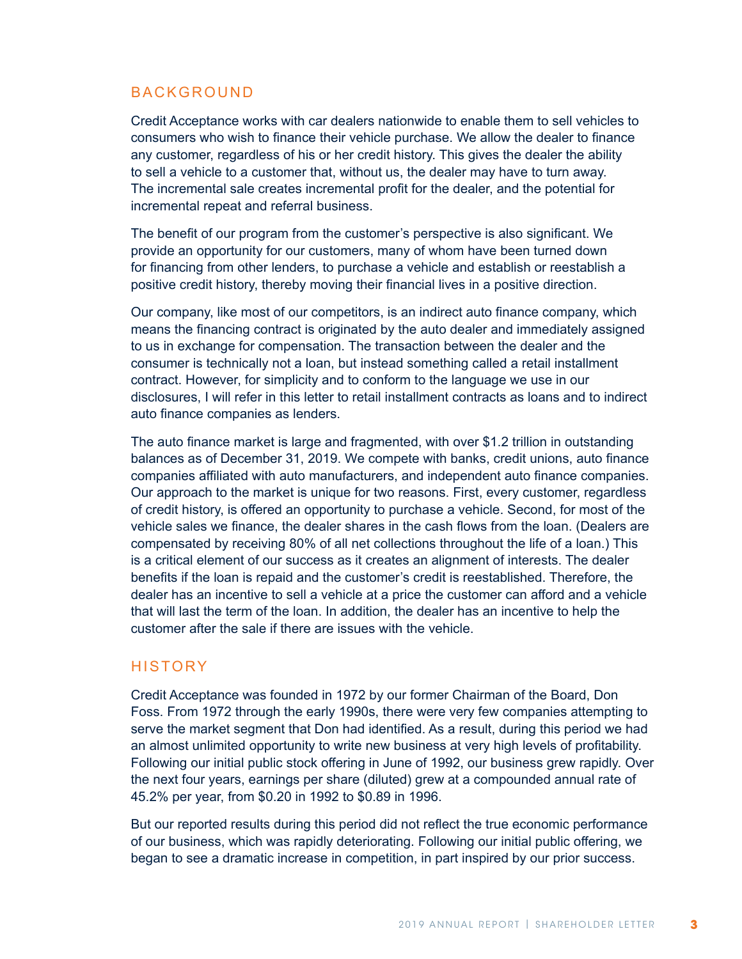### BACKGROUND

Credit Acceptance works with car dealers nationwide to enable them to sell vehicles to consumers who wish to finance their vehicle purchase. We allow the dealer to finance any customer, regardless of his or her credit history. This gives the dealer the ability to sell a vehicle to a customer that, without us, the dealer may have to turn away. The incremental sale creates incremental profit for the dealer, and the potential for incremental repeat and referral business.

The benefit of our program from the customer's perspective is also significant. We provide an opportunity for our customers, many of whom have been turned down for financing from other lenders, to purchase a vehicle and establish or reestablish a positive credit history, thereby moving their financial lives in a positive direction.

Our company, like most of our competitors, is an indirect auto finance company, which means the financing contract is originated by the auto dealer and immediately assigned to us in exchange for compensation. The transaction between the dealer and the consumer is technically not a loan, but instead something called a retail installment contract. However, for simplicity and to conform to the language we use in our disclosures, I will refer in this letter to retail installment contracts as loans and to indirect auto finance companies as lenders.

The auto finance market is large and fragmented, with over \$1.2 trillion in outstanding balances as of December 31, 2019. We compete with banks, credit unions, auto finance companies affiliated with auto manufacturers, and independent auto finance companies. Our approach to the market is unique for two reasons. First, every customer, regardless of credit history, is offered an opportunity to purchase a vehicle. Second, for most of the vehicle sales we finance, the dealer shares in the cash flows from the loan. (Dealers are compensated by receiving 80% of all net collections throughout the life of a loan.) This is a critical element of our success as it creates an alignment of interests. The dealer benefits if the loan is repaid and the customer's credit is reestablished. Therefore, the dealer has an incentive to sell a vehicle at a price the customer can afford and a vehicle that will last the term of the loan. In addition, the dealer has an incentive to help the customer after the sale if there are issues with the vehicle.

### **HISTORY**

Credit Acceptance was founded in 1972 by our former Chairman of the Board, Don Foss. From 1972 through the early 1990s, there were very few companies attempting to serve the market segment that Don had identified. As a result, during this period we had an almost unlimited opportunity to write new business at very high levels of profitability. Following our initial public stock offering in June of 1992, our business grew rapidly. Over the next four years, earnings per share (diluted) grew at a compounded annual rate of 45.2% per year, from \$0.20 in 1992 to \$0.89 in 1996.

But our reported results during this period did not reflect the true economic performance of our business, which was rapidly deteriorating. Following our initial public offering, we began to see a dramatic increase in competition, in part inspired by our prior success.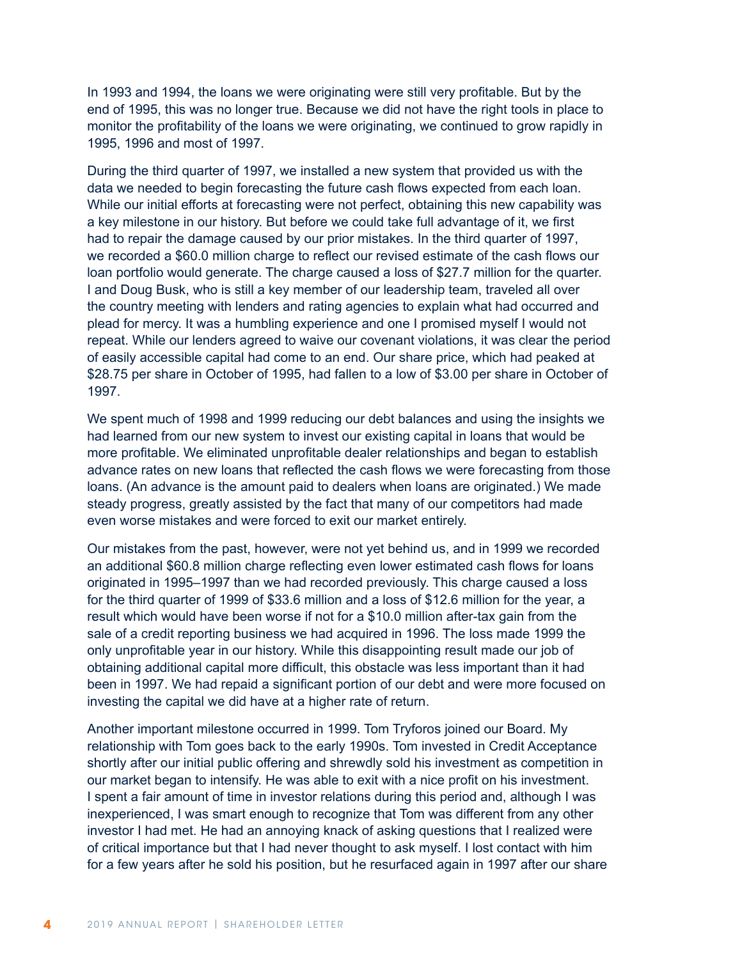In 1993 and 1994, the loans we were originating were still very profitable. But by the end of 1995, this was no longer true. Because we did not have the right tools in place to monitor the profitability of the loans we were originating, we continued to grow rapidly in 1995, 1996 and most of 1997.

During the third quarter of 1997, we installed a new system that provided us with the data we needed to begin forecasting the future cash flows expected from each loan. While our initial efforts at forecasting were not perfect, obtaining this new capability was a key milestone in our history. But before we could take full advantage of it, we first had to repair the damage caused by our prior mistakes. In the third quarter of 1997, we recorded a \$60.0 million charge to reflect our revised estimate of the cash flows our loan portfolio would generate. The charge caused a loss of \$27.7 million for the quarter. I and Doug Busk, who is still a key member of our leadership team, traveled all over the country meeting with lenders and rating agencies to explain what had occurred and plead for mercy. It was a humbling experience and one I promised myself I would not repeat. While our lenders agreed to waive our covenant violations, it was clear the period of easily accessible capital had come to an end. Our share price, which had peaked at \$28.75 per share in October of 1995, had fallen to a low of \$3.00 per share in October of 1997.

We spent much of 1998 and 1999 reducing our debt balances and using the insights we had learned from our new system to invest our existing capital in loans that would be more profitable. We eliminated unprofitable dealer relationships and began to establish advance rates on new loans that reflected the cash flows we were forecasting from those loans. (An advance is the amount paid to dealers when loans are originated.) We made steady progress, greatly assisted by the fact that many of our competitors had made even worse mistakes and were forced to exit our market entirely.

Our mistakes from the past, however, were not yet behind us, and in 1999 we recorded an additional \$60.8 million charge reflecting even lower estimated cash flows for loans originated in 1995–1997 than we had recorded previously. This charge caused a loss for the third quarter of 1999 of \$33.6 million and a loss of \$12.6 million for the year, a result which would have been worse if not for a \$10.0 million after-tax gain from the sale of a credit reporting business we had acquired in 1996. The loss made 1999 the only unprofitable year in our history. While this disappointing result made our job of obtaining additional capital more difficult, this obstacle was less important than it had been in 1997. We had repaid a significant portion of our debt and were more focused on investing the capital we did have at a higher rate of return.

Another important milestone occurred in 1999. Tom Tryforos joined our Board. My relationship with Tom goes back to the early 1990s. Tom invested in Credit Acceptance shortly after our initial public offering and shrewdly sold his investment as competition in our market began to intensify. He was able to exit with a nice profit on his investment. I spent a fair amount of time in investor relations during this period and, although I was inexperienced, I was smart enough to recognize that Tom was different from any other investor I had met. He had an annoying knack of asking questions that I realized were of critical importance but that I had never thought to ask myself. I lost contact with him for a few years after he sold his position, but he resurfaced again in 1997 after our share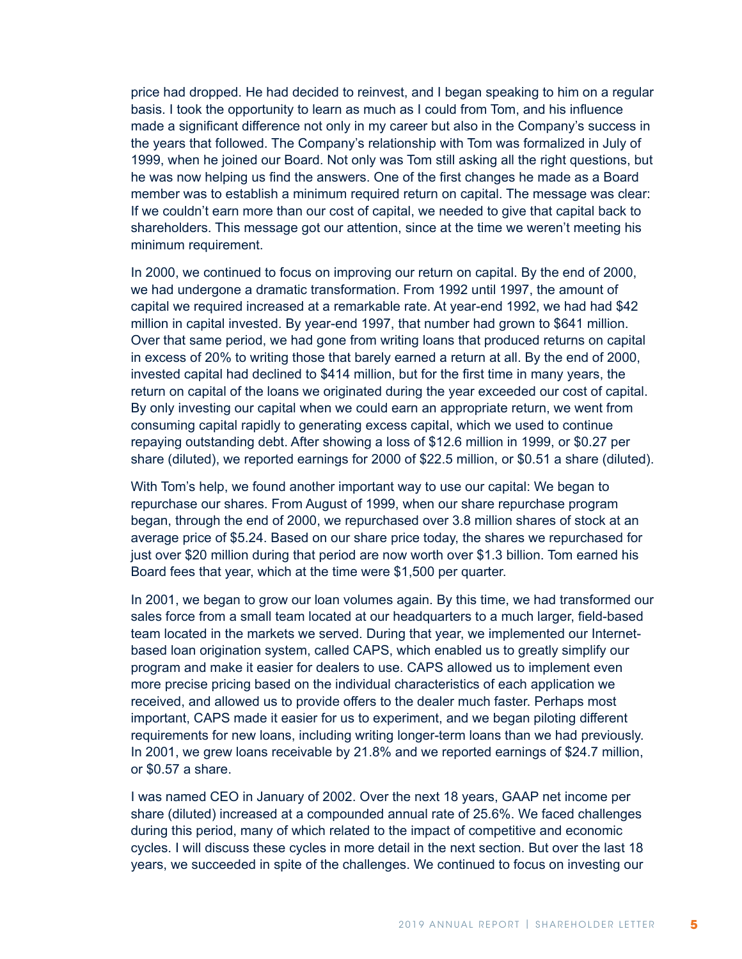price had dropped. He had decided to reinvest, and I began speaking to him on a regular basis. I took the opportunity to learn as much as I could from Tom, and his influence made a significant difference not only in my career but also in the Company's success in the years that followed. The Company's relationship with Tom was formalized in July of 1999, when he joined our Board. Not only was Tom still asking all the right questions, but he was now helping us find the answers. One of the first changes he made as a Board member was to establish a minimum required return on capital. The message was clear: If we couldn't earn more than our cost of capital, we needed to give that capital back to shareholders. This message got our attention, since at the time we weren't meeting his minimum requirement.

In 2000, we continued to focus on improving our return on capital. By the end of 2000, we had undergone a dramatic transformation. From 1992 until 1997, the amount of capital we required increased at a remarkable rate. At year-end 1992, we had had \$42 million in capital invested. By year-end 1997, that number had grown to \$641 million. Over that same period, we had gone from writing loans that produced returns on capital in excess of 20% to writing those that barely earned a return at all. By the end of 2000, invested capital had declined to \$414 million, but for the first time in many years, the return on capital of the loans we originated during the year exceeded our cost of capital. By only investing our capital when we could earn an appropriate return, we went from consuming capital rapidly to generating excess capital, which we used to continue repaying outstanding debt. After showing a loss of \$12.6 million in 1999, or \$0.27 per share (diluted), we reported earnings for 2000 of \$22.5 million, or \$0.51 a share (diluted).

With Tom's help, we found another important way to use our capital: We began to repurchase our shares. From August of 1999, when our share repurchase program began, through the end of 2000, we repurchased over 3.8 million shares of stock at an average price of \$5.24. Based on our share price today, the shares we repurchased for just over \$20 million during that period are now worth over \$1.3 billion. Tom earned his Board fees that year, which at the time were \$1,500 per quarter.

In 2001, we began to grow our loan volumes again. By this time, we had transformed our sales force from a small team located at our headquarters to a much larger, field-based team located in the markets we served. During that year, we implemented our Internetbased loan origination system, called CAPS, which enabled us to greatly simplify our program and make it easier for dealers to use. CAPS allowed us to implement even more precise pricing based on the individual characteristics of each application we received, and allowed us to provide offers to the dealer much faster. Perhaps most important, CAPS made it easier for us to experiment, and we began piloting different requirements for new loans, including writing longer-term loans than we had previously. In 2001, we grew loans receivable by 21.8% and we reported earnings of \$24.7 million, or \$0.57 a share.

I was named CEO in January of 2002. Over the next 18 years, GAAP net income per share (diluted) increased at a compounded annual rate of 25.6%. We faced challenges during this period, many of which related to the impact of competitive and economic cycles. I will discuss these cycles in more detail in the next section. But over the last 18 years, we succeeded in spite of the challenges. We continued to focus on investing our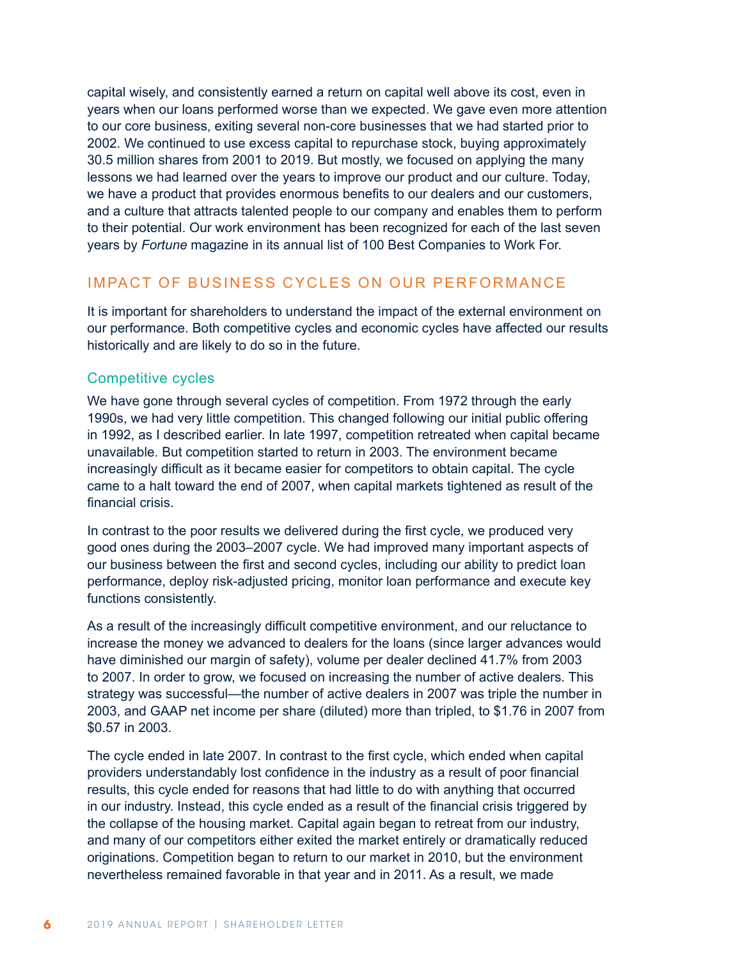capital wisely, and consistently earned a return on capital well above its cost, even in years when our loans performed worse than we expected. We gave even more attention to our core business, exiting several non-core businesses that we had started prior to 2002. We continued to use excess capital to repurchase stock, buying approximately 30.5 million shares from 2001 to 2019. But mostly, we focused on applying the many lessons we had learned over the years to improve our product and our culture. Today, we have a product that provides enormous benefits to our dealers and our customers, and a culture that attracts talented people to our company and enables them to perform to their potential. Our work environment has been recognized for each of the last seven years by *Fortune* magazine in its annual list of 100 Best Companies to Work For.

## IMPACT OF BUSINESS CYCLES ON OUR PERFORMANCE

It is important for shareholders to understand the impact of the external environment on our performance. Both competitive cycles and economic cycles have affected our results historically and are likely to do so in the future.

#### Competitive cycles

We have gone through several cycles of competition. From 1972 through the early 1990s, we had very little competition. This changed following our initial public offering in 1992, as I described earlier. In late 1997, competition retreated when capital became unavailable. But competition started to return in 2003. The environment became increasingly difficult as it became easier for competitors to obtain capital. The cycle came to a halt toward the end of 2007, when capital markets tightened as result of the financial crisis.

In contrast to the poor results we delivered during the first cycle, we produced very good ones during the 2003–2007 cycle. We had improved many important aspects of our business between the first and second cycles, including our ability to predict loan performance, deploy risk-adjusted pricing, monitor loan performance and execute key functions consistently.

As a result of the increasingly difficult competitive environment, and our reluctance to increase the money we advanced to dealers for the loans (since larger advances would have diminished our margin of safety), volume per dealer declined 41.7% from 2003 to 2007. In order to grow, we focused on increasing the number of active dealers. This strategy was successful—the number of active dealers in 2007 was triple the number in 2003, and GAAP net income per share (diluted) more than tripled, to \$1.76 in 2007 from \$0.57 in 2003.

The cycle ended in late 2007. In contrast to the first cycle, which ended when capital providers understandably lost confidence in the industry as a result of poor financial results, this cycle ended for reasons that had little to do with anything that occurred in our industry. Instead, this cycle ended as a result of the financial crisis triggered by the collapse of the housing market. Capital again began to retreat from our industry, and many of our competitors either exited the market entirely or dramatically reduced originations. Competition began to return to our market in 2010, but the environment nevertheless remained favorable in that year and in 2011. As a result, we made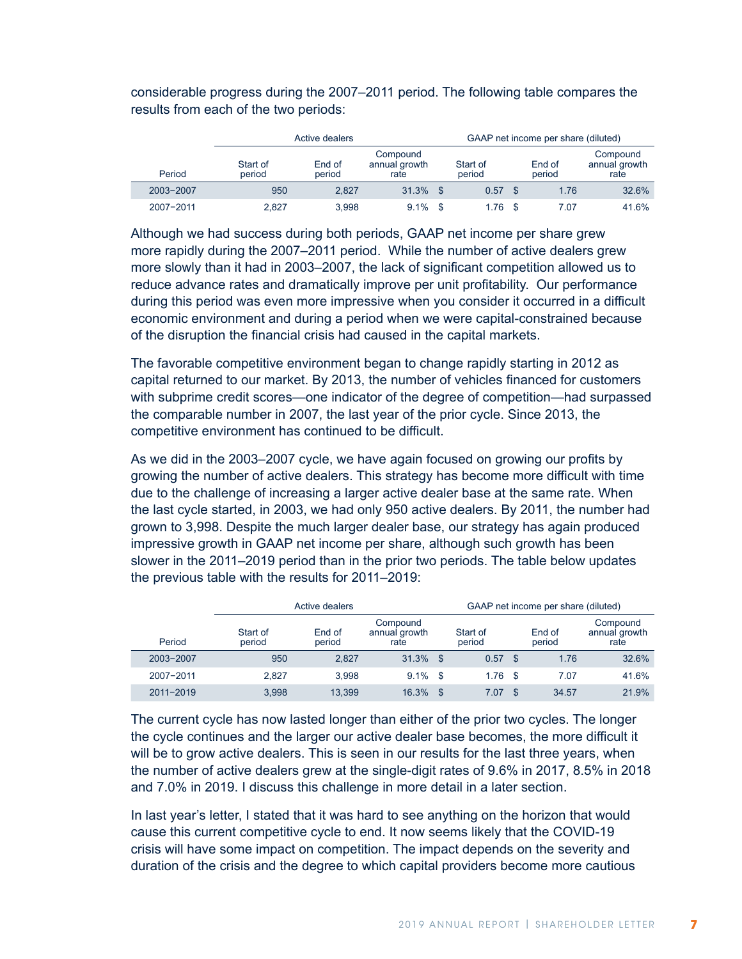considerable progress during the 2007–2011 period. The following table compares the results from each of the two periods:

|           |                    | Active dealers                                        |       |     |                    |      | GAAP net income per share (diluted) |                                   |
|-----------|--------------------|-------------------------------------------------------|-------|-----|--------------------|------|-------------------------------------|-----------------------------------|
| Period    | Start of<br>period | Compound<br>End of<br>annual growth<br>period<br>rate |       |     | Start of<br>period |      | End of<br>period                    | Compound<br>annual growth<br>rate |
| 2003-2007 | 950                | 2.827                                                 | 31.3% | -\$ | 0.57               |      | 1.76                                | 32.6%                             |
| 2007-2011 | 2.827              | 3,998                                                 | 9.1%  |     | 1.76               | - \$ | 7.07                                | 41.6%                             |

Although we had success during both periods, GAAP net income per share grew more rapidly during the 2007–2011 period. While the number of active dealers grew more slowly than it had in 2003–2007, the lack of significant competition allowed us to reduce advance rates and dramatically improve per unit profitability. Our performance during this period was even more impressive when you consider it occurred in a difficult economic environment and during a period when we were capital-constrained because of the disruption the financial crisis had caused in the capital markets.

The favorable competitive environment began to change rapidly starting in 2012 as capital returned to our market. By 2013, the number of vehicles financed for customers with subprime credit scores—one indicator of the degree of competition—had surpassed the comparable number in 2007, the last year of the prior cycle. Since 2013, the competitive environment has continued to be difficult.

As we did in the 2003–2007 cycle, we have again focused on growing our profits by growing the number of active dealers. This strategy has become more difficult with time due to the challenge of increasing a larger active dealer base at the same rate. When the last cycle started, in 2003, we had only 950 active dealers. By 2011, the number had grown to 3,998. Despite the much larger dealer base, our strategy has again produced impressive growth in GAAP net income per share, although such growth has been slower in the 2011–2019 period than in the prior two periods. The table below updates the previous table with the results for 2011–2019:

|           |                    | Active dealers                                |             |    | GAAP net income per share (diluted) |      |                  |                                   |  |  |  |
|-----------|--------------------|-----------------------------------------------|-------------|----|-------------------------------------|------|------------------|-----------------------------------|--|--|--|
| Period    | Start of<br>period | Compound<br>End of<br>annual growth<br>period |             |    | Start of<br>period                  |      | End of<br>period | Compound<br>annual growth<br>rate |  |  |  |
| 2003-2007 | 950                | 2.827                                         | $31.3\%$ \$ |    | 0.57                                | - \$ | 1.76             | 32.6%                             |  |  |  |
| 2007-2011 | 2.827              | 3.998                                         | $9.1\%$ \$  |    | $1.76$ \$                           |      | 7.07             | 41.6%                             |  |  |  |
| 2011-2019 | 3.998              | 13.399                                        | 16.3%       | \$ | 7.07                                |      | 34.57            | 21.9%                             |  |  |  |

The current cycle has now lasted longer than either of the prior two cycles. The longer the cycle continues and the larger our active dealer base becomes, the more difficult it will be to grow active dealers. This is seen in our results for the last three years, when the number of active dealers grew at the single-digit rates of 9.6% in 2017, 8.5% in 2018 and 7.0% in 2019. I discuss this challenge in more detail in a later section.

In last year's letter, I stated that it was hard to see anything on the horizon that would cause this current competitive cycle to end. It now seems likely that the COVID-19 crisis will have some impact on competition. The impact depends on the severity and duration of the crisis and the degree to which capital providers become more cautious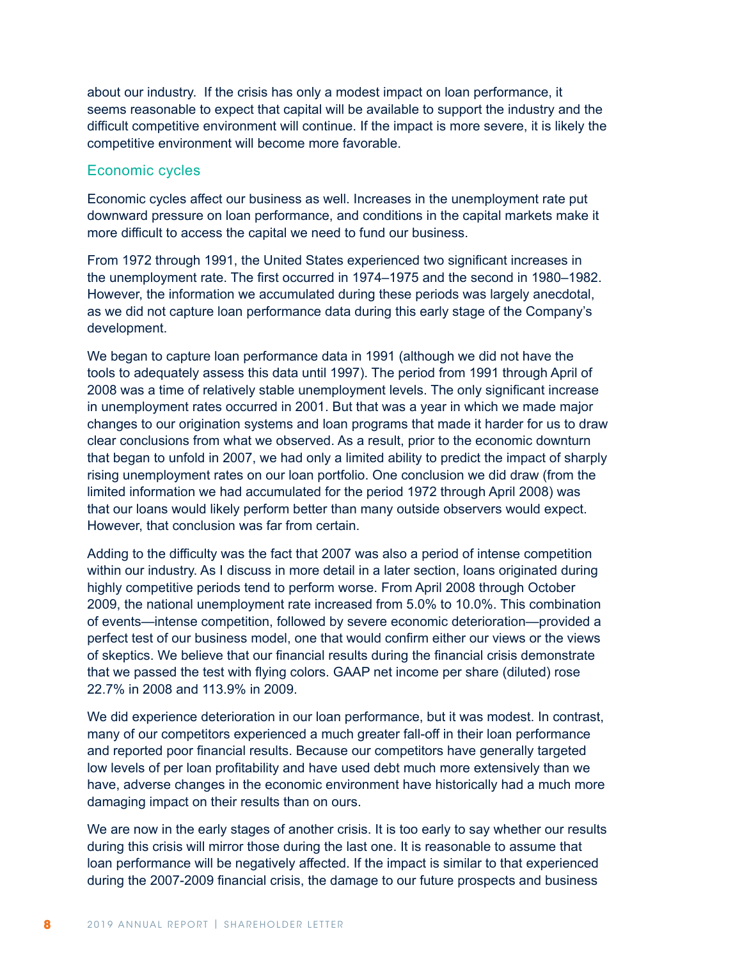about our industry. If the crisis has only a modest impact on loan performance, it seems reasonable to expect that capital will be available to support the industry and the difficult competitive environment will continue. If the impact is more severe, it is likely the competitive environment will become more favorable.

#### Economic cycles

Economic cycles affect our business as well. Increases in the unemployment rate put downward pressure on loan performance, and conditions in the capital markets make it more difficult to access the capital we need to fund our business.

From 1972 through 1991, the United States experienced two significant increases in the unemployment rate. The first occurred in 1974–1975 and the second in 1980–1982. However, the information we accumulated during these periods was largely anecdotal, as we did not capture loan performance data during this early stage of the Company's development.

We began to capture loan performance data in 1991 (although we did not have the tools to adequately assess this data until 1997). The period from 1991 through April of 2008 was a time of relatively stable unemployment levels. The only significant increase in unemployment rates occurred in 2001. But that was a year in which we made major changes to our origination systems and loan programs that made it harder for us to draw clear conclusions from what we observed. As a result, prior to the economic downturn that began to unfold in 2007, we had only a limited ability to predict the impact of sharply rising unemployment rates on our loan portfolio. One conclusion we did draw (from the limited information we had accumulated for the period 1972 through April 2008) was that our loans would likely perform better than many outside observers would expect. However, that conclusion was far from certain.

Adding to the difficulty was the fact that 2007 was also a period of intense competition within our industry. As I discuss in more detail in a later section, loans originated during highly competitive periods tend to perform worse. From April 2008 through October 2009, the national unemployment rate increased from 5.0% to 10.0%. This combination of events—intense competition, followed by severe economic deterioration—provided a perfect test of our business model, one that would confirm either our views or the views of skeptics. We believe that our financial results during the financial crisis demonstrate that we passed the test with flying colors. GAAP net income per share (diluted) rose 22.7% in 2008 and 113.9% in 2009.

We did experience deterioration in our loan performance, but it was modest. In contrast, many of our competitors experienced a much greater fall-off in their loan performance and reported poor financial results. Because our competitors have generally targeted low levels of per loan profitability and have used debt much more extensively than we have, adverse changes in the economic environment have historically had a much more damaging impact on their results than on ours.

We are now in the early stages of another crisis. It is too early to say whether our results during this crisis will mirror those during the last one. It is reasonable to assume that loan performance will be negatively affected. If the impact is similar to that experienced during the 2007-2009 financial crisis, the damage to our future prospects and business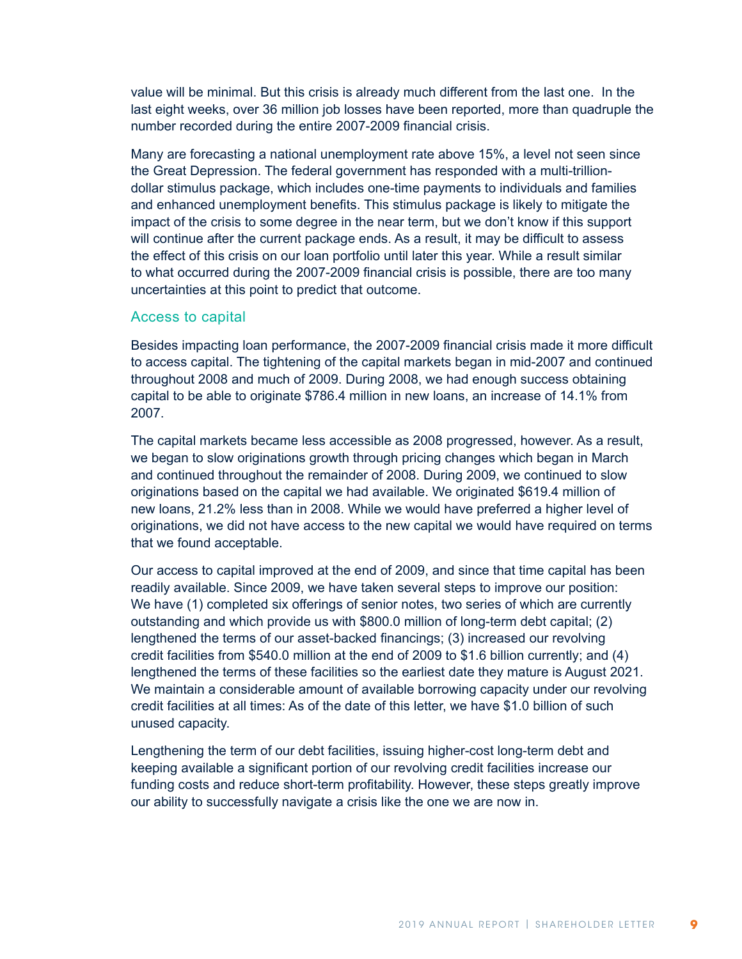value will be minimal. But this crisis is already much different from the last one. In the last eight weeks, over 36 million job losses have been reported, more than quadruple the number recorded during the entire 2007-2009 financial crisis.

Many are forecasting a national unemployment rate above 15%, a level not seen since the Great Depression. The federal government has responded with a multi-trilliondollar stimulus package, which includes one-time payments to individuals and families and enhanced unemployment benefits. This stimulus package is likely to mitigate the impact of the crisis to some degree in the near term, but we don't know if this support will continue after the current package ends. As a result, it may be difficult to assess the effect of this crisis on our loan portfolio until later this year. While a result similar to what occurred during the 2007-2009 financial crisis is possible, there are too many uncertainties at this point to predict that outcome.

#### Access to capital

Besides impacting loan performance, the 2007-2009 financial crisis made it more difficult to access capital. The tightening of the capital markets began in mid-2007 and continued throughout 2008 and much of 2009. During 2008, we had enough success obtaining capital to be able to originate \$786.4 million in new loans, an increase of 14.1% from 2007.

The capital markets became less accessible as 2008 progressed, however. As a result, we began to slow originations growth through pricing changes which began in March and continued throughout the remainder of 2008. During 2009, we continued to slow originations based on the capital we had available. We originated \$619.4 million of new loans, 21.2% less than in 2008. While we would have preferred a higher level of originations, we did not have access to the new capital we would have required on terms that we found acceptable.

Our access to capital improved at the end of 2009, and since that time capital has been readily available. Since 2009, we have taken several steps to improve our position: We have (1) completed six offerings of senior notes, two series of which are currently outstanding and which provide us with \$800.0 million of long-term debt capital; (2) lengthened the terms of our asset-backed financings; (3) increased our revolving credit facilities from \$540.0 million at the end of 2009 to \$1.6 billion currently; and (4) lengthened the terms of these facilities so the earliest date they mature is August 2021. We maintain a considerable amount of available borrowing capacity under our revolving credit facilities at all times: As of the date of this letter, we have \$1.0 billion of such unused capacity.

Lengthening the term of our debt facilities, issuing higher-cost long-term debt and keeping available a significant portion of our revolving credit facilities increase our funding costs and reduce short-term profitability. However, these steps greatly improve our ability to successfully navigate a crisis like the one we are now in.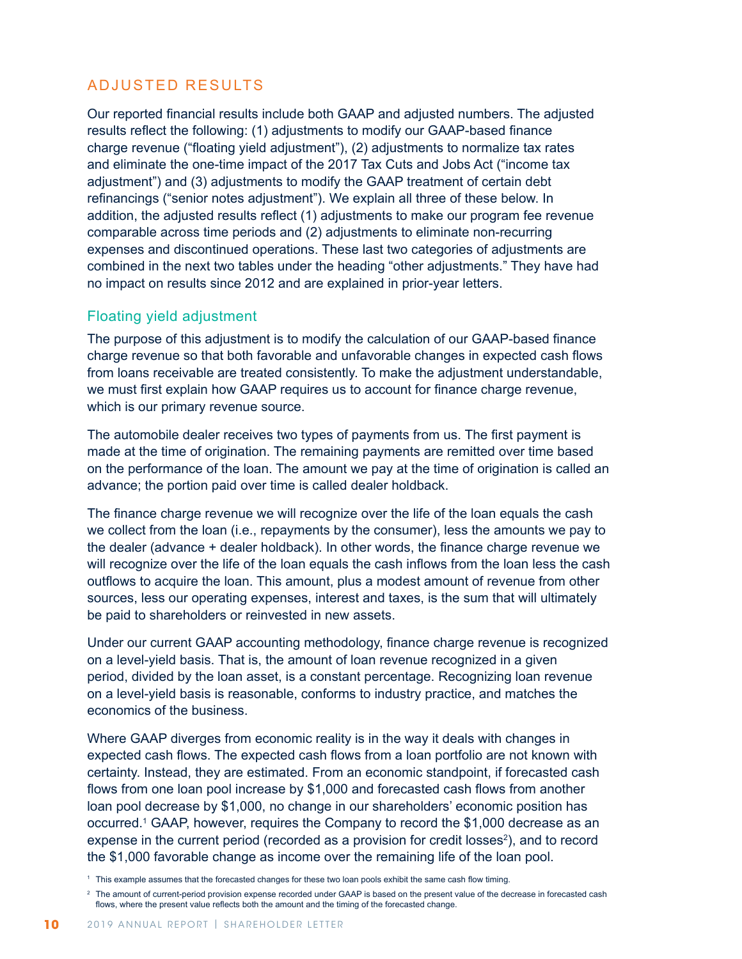# ADJUSTED RESULTS

Our reported financial results include both GAAP and adjusted numbers. The adjusted results reflect the following: (1) adjustments to modify our GAAP-based finance charge revenue ("floating yield adjustment"), (2) adjustments to normalize tax rates and eliminate the one-time impact of the 2017 Tax Cuts and Jobs Act ("income tax adjustment") and (3) adjustments to modify the GAAP treatment of certain debt refinancings ("senior notes adjustment"). We explain all three of these below. In addition, the adjusted results reflect (1) adjustments to make our program fee revenue comparable across time periods and (2) adjustments to eliminate non-recurring expenses and discontinued operations. These last two categories of adjustments are combined in the next two tables under the heading "other adjustments." They have had no impact on results since 2012 and are explained in prior-year letters.

### Floating yield adjustment

The purpose of this adjustment is to modify the calculation of our GAAP-based finance charge revenue so that both favorable and unfavorable changes in expected cash flows from loans receivable are treated consistently. To make the adjustment understandable, we must first explain how GAAP requires us to account for finance charge revenue, which is our primary revenue source.

The automobile dealer receives two types of payments from us. The first payment is made at the time of origination. The remaining payments are remitted over time based on the performance of the loan. The amount we pay at the time of origination is called an advance; the portion paid over time is called dealer holdback.

The finance charge revenue we will recognize over the life of the loan equals the cash we collect from the loan (i.e., repayments by the consumer), less the amounts we pay to the dealer (advance + dealer holdback). In other words, the finance charge revenue we will recognize over the life of the loan equals the cash inflows from the loan less the cash outflows to acquire the loan. This amount, plus a modest amount of revenue from other sources, less our operating expenses, interest and taxes, is the sum that will ultimately be paid to shareholders or reinvested in new assets.

Under our current GAAP accounting methodology, finance charge revenue is recognized on a level-yield basis. That is, the amount of loan revenue recognized in a given period, divided by the loan asset, is a constant percentage. Recognizing loan revenue on a level-yield basis is reasonable, conforms to industry practice, and matches the economics of the business.

Where GAAP diverges from economic reality is in the way it deals with changes in expected cash flows. The expected cash flows from a loan portfolio are not known with certainty. Instead, they are estimated. From an economic standpoint, if forecasted cash flows from one loan pool increase by \$1,000 and forecasted cash flows from another loan pool decrease by \$1,000, no change in our shareholders' economic position has occurred.1 GAAP, however, requires the Company to record the \$1,000 decrease as an expense in the current period (recorded as a provision for credit losses<sup>2</sup>), and to record the \$1,000 favorable change as income over the remaining life of the loan pool.

<sup>1</sup> This example assumes that the forecasted changes for these two loan pools exhibit the same cash flow timing.

<sup>&</sup>lt;sup>2</sup> The amount of current-period provision expense recorded under GAAP is based on the present value of the decrease in forecasted cash flows, where the present value reflects both the amount and the timing of the forecasted change.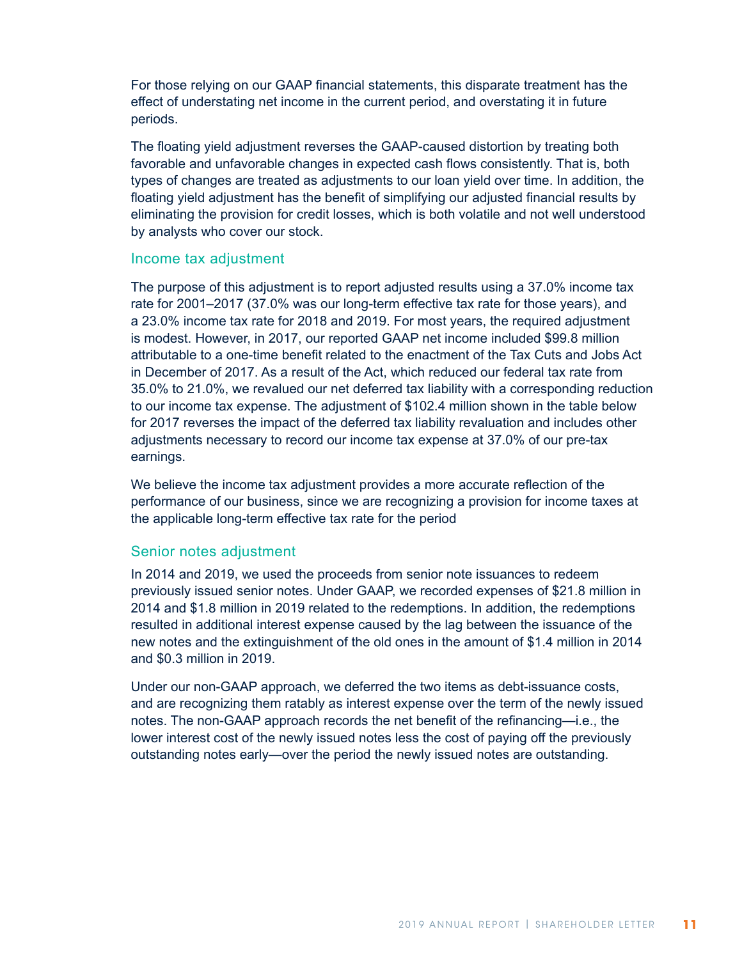For those relying on our GAAP financial statements, this disparate treatment has the effect of understating net income in the current period, and overstating it in future periods.

The floating yield adjustment reverses the GAAP-caused distortion by treating both favorable and unfavorable changes in expected cash flows consistently. That is, both types of changes are treated as adjustments to our loan yield over time. In addition, the floating yield adjustment has the benefit of simplifying our adjusted financial results by eliminating the provision for credit losses, which is both volatile and not well understood by analysts who cover our stock.

#### Income tax adjustment

The purpose of this adjustment is to report adjusted results using a 37.0% income tax rate for 2001–2017 (37.0% was our long-term effective tax rate for those years), and a 23.0% income tax rate for 2018 and 2019. For most years, the required adjustment is modest. However, in 2017, our reported GAAP net income included \$99.8 million attributable to a one-time benefit related to the enactment of the Tax Cuts and Jobs Act in December of 2017. As a result of the Act, which reduced our federal tax rate from 35.0% to 21.0%, we revalued our net deferred tax liability with a corresponding reduction to our income tax expense. The adjustment of \$102.4 million shown in the table below for 2017 reverses the impact of the deferred tax liability revaluation and includes other adjustments necessary to record our income tax expense at 37.0% of our pre-tax earnings.

We believe the income tax adjustment provides a more accurate reflection of the performance of our business, since we are recognizing a provision for income taxes at the applicable long-term effective tax rate for the period

#### Senior notes adjustment

In 2014 and 2019, we used the proceeds from senior note issuances to redeem previously issued senior notes. Under GAAP, we recorded expenses of \$21.8 million in 2014 and \$1.8 million in 2019 related to the redemptions. In addition, the redemptions resulted in additional interest expense caused by the lag between the issuance of the new notes and the extinguishment of the old ones in the amount of \$1.4 million in 2014 and \$0.3 million in 2019.

Under our non-GAAP approach, we deferred the two items as debt-issuance costs, and are recognizing them ratably as interest expense over the term of the newly issued notes. The non-GAAP approach records the net benefit of the refinancing—i.e., the lower interest cost of the newly issued notes less the cost of paying off the previously outstanding notes early—over the period the newly issued notes are outstanding.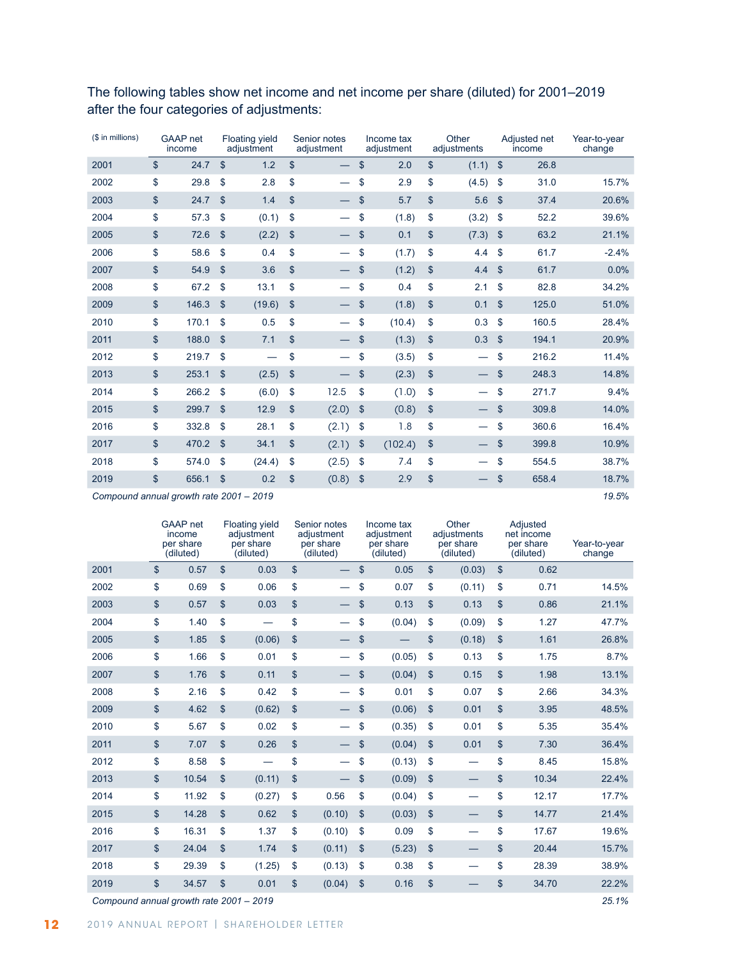| (\$ in millions) | <b>GAAP</b> net<br>income |                           | <b>Floating yield</b><br>adjustment | Senior notes<br>adjustment | Income tax<br>adjustment  |         | Other<br>adjustments |       |                | Adjusted net<br>income | Year-to-year<br>change |
|------------------|---------------------------|---------------------------|-------------------------------------|----------------------------|---------------------------|---------|----------------------|-------|----------------|------------------------|------------------------|
| 2001             | \$<br>24.7                | $\mathsf{\$}$             | 1.2                                 | \$                         | \$                        | 2.0     | \$                   | (1.1) | $\mathsf{\$}$  | 26.8                   |                        |
| 2002             | \$<br>29.8                | \$                        | 2.8                                 | \$                         | \$                        | 2.9     | \$                   | (4.5) | \$             | 31.0                   | 15.7%                  |
| 2003             | \$<br>24.7                | $\mathcal{S}$             | 1.4                                 | \$                         | \$                        | 5.7     | \$                   | 5.6   | \$             | 37.4                   | 20.6%                  |
| 2004             | \$<br>57.3                | \$                        | (0.1)                               | \$                         | \$                        | (1.8)   | \$                   | (3.2) | \$             | 52.2                   | 39.6%                  |
| 2005             | \$<br>72.6                | $\mathcal{S}$             | (2.2)                               | \$                         | \$                        | 0.1     | $\mathbf{\$}$        | (7.3) | \$             | 63.2                   | 21.1%                  |
| 2006             | \$<br>58.6                | $\mathsf{\$}$             | 0.4                                 | \$                         | \$                        | (1.7)   | \$                   | 4.4   | \$             | 61.7                   | $-2.4%$                |
| 2007             | \$<br>54.9                | $\boldsymbol{\mathsf{S}}$ | 3.6                                 | \$                         | \$                        | (1.2)   | \$                   | 4.4   | \$             | 61.7                   | 0.0%                   |
| 2008             | \$<br>67.2                | \$                        | 13.1                                | \$                         | \$                        | 0.4     | \$                   | 2.1   | \$             | 82.8                   | 34.2%                  |
| 2009             | \$<br>146.3               | $\mathsf{\$}$             | (19.6)                              | \$                         | \$                        | (1.8)   | \$                   | 0.1   | \$             | 125.0                  | 51.0%                  |
| 2010             | \$<br>170.1               | \$                        | 0.5                                 | \$                         | \$                        | (10.4)  | \$                   | 0.3   | \$             | 160.5                  | 28.4%                  |
| 2011             | \$<br>188.0               | $\mathfrak{s}$            | 7.1                                 | \$                         | \$                        | (1.3)   | \$                   | 0.3   | $\mathfrak{s}$ | 194.1                  | 20.9%                  |
| 2012             | \$<br>219.7               | \$                        |                                     | \$                         | \$                        | (3.5)   | \$                   |       | \$             | 216.2                  | 11.4%                  |
| 2013             | \$<br>253.1               | $\boldsymbol{\mathsf{S}}$ | (2.5)                               | \$                         | \$                        | (2.3)   | \$                   |       | \$             | 248.3                  | 14.8%                  |
| 2014             | \$<br>266.2               | \$                        | (6.0)                               | \$<br>12.5                 | \$                        | (1.0)   | \$                   |       | \$             | 271.7                  | 9.4%                   |
| 2015             | \$<br>299.7               | $\mathsf{\$}$             | 12.9                                | \$<br>(2.0)                | $\mathsf{\$}$             | (0.8)   | \$                   |       | \$             | 309.8                  | 14.0%                  |
| 2016             | \$<br>332.8               | \$                        | 28.1                                | \$<br>(2.1)                | \$                        | 1.8     | \$                   | —     | \$             | 360.6                  | 16.4%                  |
| 2017             | \$<br>470.2               | $\mathbb{S}$              | 34.1                                | \$<br>(2.1)                | $\boldsymbol{\mathsf{S}}$ | (102.4) | $\mathfrak{S}$       |       | $\mathsf{\$}$  | 399.8                  | 10.9%                  |
| 2018             | \$<br>574.0               | $\mathbf{\$}$             | (24.4)                              | \$<br>(2.5)                | \$                        | 7.4     | \$                   |       | \$             | 554.5                  | 38.7%                  |
| 2019             | \$<br>656.1               | $\boldsymbol{\mathsf{S}}$ | 0.2                                 | \$<br>(0.8)                | $\boldsymbol{\mathsf{S}}$ | 2.9     | \$                   |       | \$             | 658.4                  | 18.7%                  |
|                  |                           |                           |                                     |                            |                           |         |                      |       |                |                        |                        |

The following tables show net income and net income per share (diluted) for 2001–2019 after the four categories of adjustments:

*Compound annual growth rate 2001 – 2019 19.5*%

|      | <b>GAAP</b> net<br>income<br>per share<br>(diluted) | <b>Floating yield</b><br>adiustment<br>per share<br>(diluted) |               | Senior notes<br>adiustment<br>per share<br>(diluted) |    | Income tax<br>adiustment<br>per share<br>(diluted) |               | Other<br>adjustments<br>per share<br>(diluted) |               | Adjusted<br>net income<br>per share<br>(diluted) | Year-to-year<br>change |
|------|-----------------------------------------------------|---------------------------------------------------------------|---------------|------------------------------------------------------|----|----------------------------------------------------|---------------|------------------------------------------------|---------------|--------------------------------------------------|------------------------|
| 2001 | \$<br>0.57                                          | \$<br>0.03                                                    | \$            |                                                      | \$ | 0.05                                               | $\mathsf{\$}$ | (0.03)                                         | \$            | 0.62                                             |                        |
| 2002 | \$<br>0.69                                          | \$<br>0.06                                                    | \$            |                                                      | \$ | 0.07                                               | \$            | (0.11)                                         | \$            | 0.71                                             | 14.5%                  |
| 2003 | \$<br>0.57                                          | \$<br>0.03                                                    | \$            |                                                      | \$ | 0.13                                               | \$            | 0.13                                           | $\mathsf{\$}$ | 0.86                                             | 21.1%                  |
| 2004 | \$<br>1.40                                          | \$                                                            | \$            |                                                      | \$ | (0.04)                                             | \$            | (0.09)                                         | \$            | 1.27                                             | 47.7%                  |
| 2005 | \$<br>1.85                                          | \$<br>(0.06)                                                  | \$            |                                                      | \$ |                                                    | \$            | (0.18)                                         | \$            | 1.61                                             | 26.8%                  |
| 2006 | \$<br>1.66                                          | \$<br>0.01                                                    | \$            |                                                      | \$ | (0.05)                                             | \$            | 0.13                                           | \$            | 1.75                                             | 8.7%                   |
| 2007 | \$<br>1.76                                          | \$<br>0.11                                                    | \$            |                                                      | \$ | (0.04)                                             | \$            | 0.15                                           | \$            | 1.98                                             | 13.1%                  |
| 2008 | \$<br>2.16                                          | \$<br>0.42                                                    | \$            |                                                      | \$ | 0.01                                               | \$            | 0.07                                           | \$            | 2.66                                             | 34.3%                  |
| 2009 | \$<br>4.62                                          | \$<br>(0.62)                                                  | \$            |                                                      | \$ | (0.06)                                             | \$            | 0.01                                           | $\mathsf{\$}$ | 3.95                                             | 48.5%                  |
| 2010 | \$<br>5.67                                          | \$<br>0.02                                                    | \$            |                                                      | \$ | (0.35)                                             | \$            | 0.01                                           | \$            | 5.35                                             | 35.4%                  |
| 2011 | \$<br>7.07                                          | \$<br>0.26                                                    | \$            |                                                      | \$ | (0.04)                                             | \$            | 0.01                                           | \$            | 7.30                                             | 36.4%                  |
| 2012 | \$<br>8.58                                          | \$                                                            | \$            |                                                      | \$ | (0.13)                                             | \$            |                                                | \$            | 8.45                                             | 15.8%                  |
| 2013 | \$<br>10.54                                         | \$<br>(0.11)                                                  | \$            |                                                      | \$ | (0.09)                                             | \$            |                                                | \$            | 10.34                                            | 22.4%                  |
| 2014 | \$<br>11.92                                         | \$<br>(0.27)                                                  | \$            | 0.56                                                 | \$ | (0.04)                                             | \$            |                                                | \$            | 12.17                                            | 17.7%                  |
| 2015 | \$<br>14.28                                         | \$<br>0.62                                                    | \$            | (0.10)                                               | \$ | (0.03)                                             | \$            |                                                | \$            | 14.77                                            | 21.4%                  |
| 2016 | \$<br>16.31                                         | \$<br>1.37                                                    | \$            | (0.10)                                               | \$ | 0.09                                               | \$            |                                                | \$            | 17.67                                            | 19.6%                  |
| 2017 | \$<br>24.04                                         | \$<br>1.74                                                    | \$            | (0.11)                                               | \$ | (5.23)                                             | \$            |                                                | \$            | 20.44                                            | 15.7%                  |
| 2018 | \$<br>29.39                                         | \$<br>(1.25)                                                  | \$            | (0.13)                                               | \$ | 0.38                                               | \$            |                                                | \$            | 28.39                                            | 38.9%                  |
| 2019 | \$<br>34.57                                         | \$<br>0.01                                                    | $\mathsf{\$}$ | (0.04)                                               | \$ | 0.16                                               | $\mathbf{\$}$ |                                                | \$            | 34.70                                            | 22.2%                  |

*Compound annual growth rate 2001 – 2019 25.1%*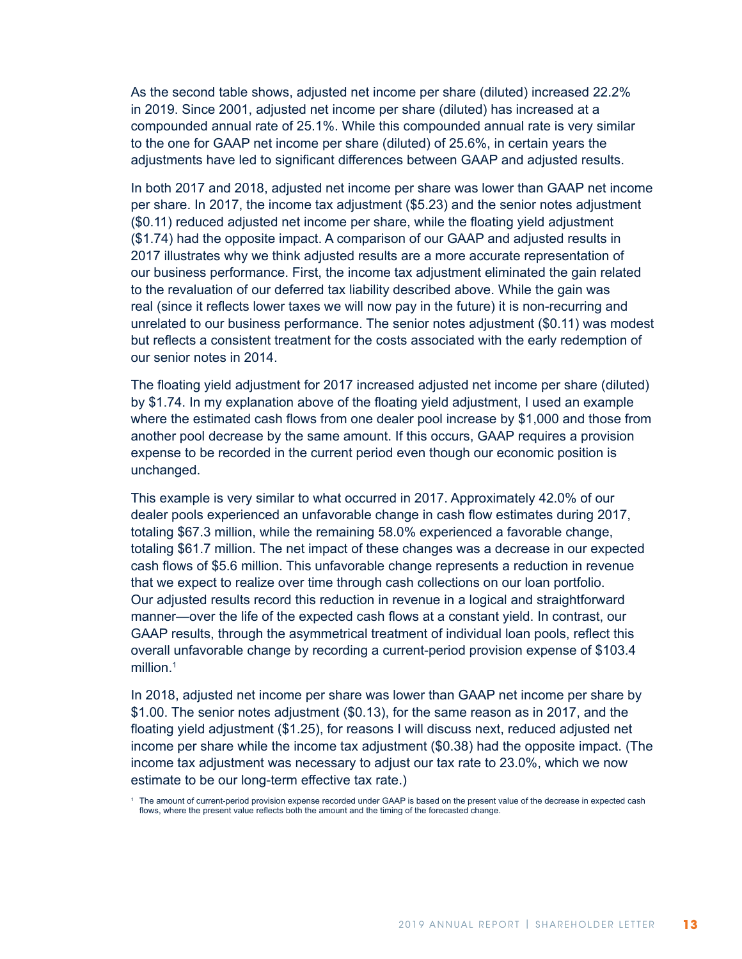As the second table shows, adjusted net income per share (diluted) increased 22.2% in 2019. Since 2001, adjusted net income per share (diluted) has increased at a compounded annual rate of 25.1%. While this compounded annual rate is very similar to the one for GAAP net income per share (diluted) of 25.6%, in certain years the adjustments have led to significant differences between GAAP and adjusted results.

In both 2017 and 2018, adjusted net income per share was lower than GAAP net income per share. In 2017, the income tax adjustment (\$5.23) and the senior notes adjustment (\$0.11) reduced adjusted net income per share, while the floating yield adjustment (\$1.74) had the opposite impact. A comparison of our GAAP and adjusted results in 2017 illustrates why we think adjusted results are a more accurate representation of our business performance. First, the income tax adjustment eliminated the gain related to the revaluation of our deferred tax liability described above. While the gain was real (since it reflects lower taxes we will now pay in the future) it is non-recurring and unrelated to our business performance. The senior notes adjustment (\$0.11) was modest but reflects a consistent treatment for the costs associated with the early redemption of our senior notes in 2014.

The floating yield adjustment for 2017 increased adjusted net income per share (diluted) by \$1.74. In my explanation above of the floating yield adjustment, I used an example where the estimated cash flows from one dealer pool increase by \$1,000 and those from another pool decrease by the same amount. If this occurs, GAAP requires a provision expense to be recorded in the current period even though our economic position is unchanged.

This example is very similar to what occurred in 2017. Approximately 42.0% of our dealer pools experienced an unfavorable change in cash flow estimates during 2017, totaling \$67.3 million, while the remaining 58.0% experienced a favorable change, totaling \$61.7 million. The net impact of these changes was a decrease in our expected cash flows of \$5.6 million. This unfavorable change represents a reduction in revenue that we expect to realize over time through cash collections on our loan portfolio. Our adjusted results record this reduction in revenue in a logical and straightforward manner—over the life of the expected cash flows at a constant yield. In contrast, our GAAP results, through the asymmetrical treatment of individual loan pools, reflect this overall unfavorable change by recording a current-period provision expense of \$103.4 million.<sup>1</sup>

In 2018, adjusted net income per share was lower than GAAP net income per share by \$1.00. The senior notes adjustment (\$0.13), for the same reason as in 2017, and the floating yield adjustment (\$1.25), for reasons I will discuss next, reduced adjusted net income per share while the income tax adjustment (\$0.38) had the opposite impact. (The income tax adjustment was necessary to adjust our tax rate to 23.0%, which we now estimate to be our long-term effective tax rate.)

 $1$  The amount of current-period provision expense recorded under GAAP is based on the present value of the decrease in expected cash flows, where the present value reflects both the amount and the timing of the forecasted change.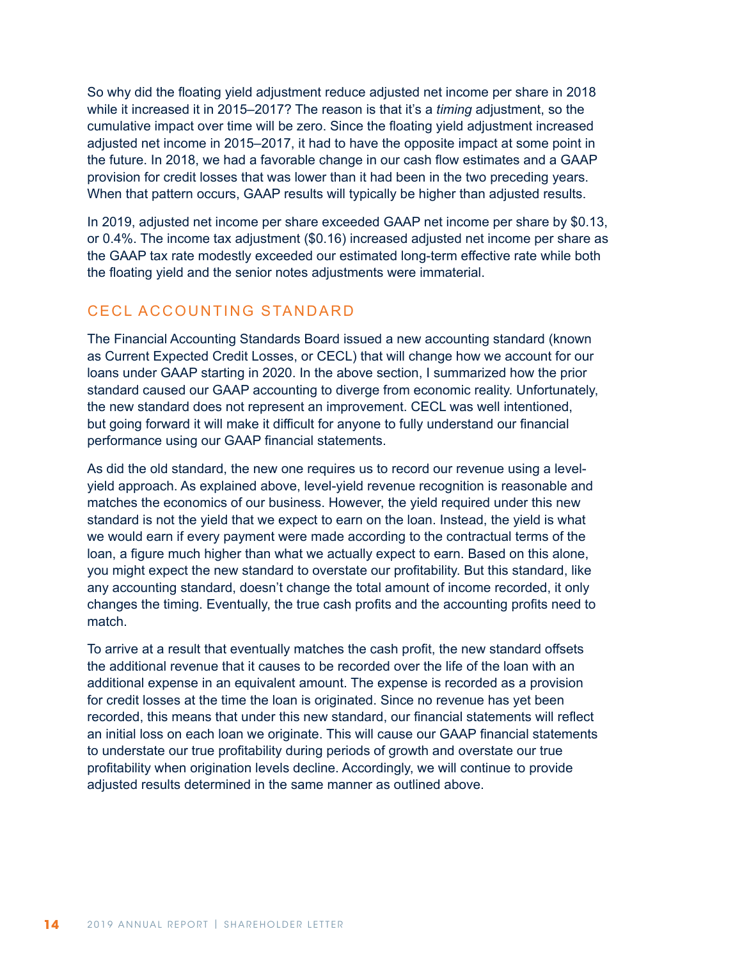So why did the floating yield adjustment reduce adjusted net income per share in 2018 while it increased it in 2015–2017? The reason is that it's a *timing* adjustment, so the cumulative impact over time will be zero. Since the floating yield adjustment increased adjusted net income in 2015–2017, it had to have the opposite impact at some point in the future. In 2018, we had a favorable change in our cash flow estimates and a GAAP provision for credit losses that was lower than it had been in the two preceding years. When that pattern occurs, GAAP results will typically be higher than adjusted results.

In 2019, adjusted net income per share exceeded GAAP net income per share by \$0.13, or 0.4%. The income tax adjustment (\$0.16) increased adjusted net income per share as the GAAP tax rate modestly exceeded our estimated long-term effective rate while both the floating yield and the senior notes adjustments were immaterial.

## CECL ACCOUNTING STANDARD

The Financial Accounting Standards Board issued a new accounting standard (known as Current Expected Credit Losses, or CECL) that will change how we account for our loans under GAAP starting in 2020. In the above section, I summarized how the prior standard caused our GAAP accounting to diverge from economic reality. Unfortunately, the new standard does not represent an improvement. CECL was well intentioned, but going forward it will make it difficult for anyone to fully understand our financial performance using our GAAP financial statements.

As did the old standard, the new one requires us to record our revenue using a levelyield approach. As explained above, level-yield revenue recognition is reasonable and matches the economics of our business. However, the yield required under this new standard is not the yield that we expect to earn on the loan. Instead, the yield is what we would earn if every payment were made according to the contractual terms of the loan, a figure much higher than what we actually expect to earn. Based on this alone, you might expect the new standard to overstate our profitability. But this standard, like any accounting standard, doesn't change the total amount of income recorded, it only changes the timing. Eventually, the true cash profits and the accounting profits need to match.

To arrive at a result that eventually matches the cash profit, the new standard offsets the additional revenue that it causes to be recorded over the life of the loan with an additional expense in an equivalent amount. The expense is recorded as a provision for credit losses at the time the loan is originated. Since no revenue has yet been recorded, this means that under this new standard, our financial statements will reflect an initial loss on each loan we originate. This will cause our GAAP financial statements to understate our true profitability during periods of growth and overstate our true profitability when origination levels decline. Accordingly, we will continue to provide adjusted results determined in the same manner as outlined above.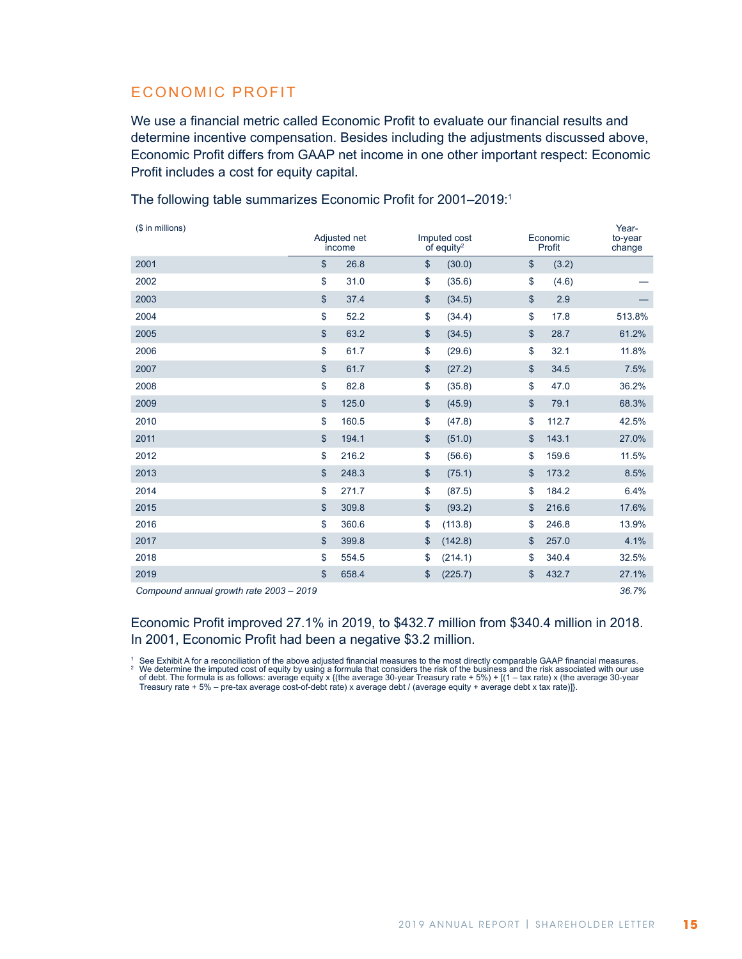## ECONOMIC PROFIT

We use a financial metric called Economic Profit to evaluate our financial results and determine incentive compensation. Besides including the adjustments discussed above, Economic Profit differs from GAAP net income in one other important respect: Economic Profit includes a cost for equity capital.

(\$ in millions) Adjusted net income Imputed cost of equity2 Economic Profit Yearto-year change \$ 26.8 \$ (30.0) \$ (3.2) \$ 31.0 \$ (35.6) \$ (4.6) — \$ 37.4 \$ (34.5) \$ 2.9 — \$ 52.2 \$ (34.4) \$ 17.8 513.8% 61.2%  $2005$  5 63.2 \$ (34.5) \$ 28.7 61.2% \$ 61.7 \$ (29.6) \$ 32.1 11.8% . The contract term of the contract term of the contract term of the contract of the contract of the contract of the contract of the contract of the contract of the contract of the contract of the contract of the c \$ 82.8 \$ (35.8) \$ 47.0 36.2% \$ 125.0 \$ (45.9) \$ 79.1 68.3% \$ 160.5 \$ (47.8) \$ 112.7 42.5% \$ 194.1 \$ (51.0) \$ 143.1 27.0% \$ 216.2 \$ (56.6) \$ 159.6 11.5% 8.5%  $2013$  8.5%  $248.3$  8.5%  $(75.1)$  8.5%  $173.2$  8.5% \$ 271.7 \$ (87.5) \$ 184.2 6.4% 8  $309.8$  8  $(93.2)$  8  $216.6$  8  $17.6\%$  \$ 360.6 \$ (113.8) \$ 246.8 13.9% and  $2017$  and  $2017$  and  $2017$  and  $2017$  and  $2017$  and  $2017$  and  $2017$  and  $2017$  and  $2017$  and  $2017$  and  $2017$  and  $2017$  and  $2017$  and  $2017$  and  $2017$  and  $2017$  and  $2017$  and  $2017$  and  $2017$  and \$ 554.5 \$ (214.1) \$ 340.4 32.5% \$ 658.4 \$ (225.7) \$ 432.7 27.1% *Compound annual growth rate 2003 – 2019 36.7%*

The following table summarizes Economic Profit for 2001–2019:<sup>1</sup>

#### Economic Profit improved 27.1% in 2019, to \$432.7 million from \$340.4 million in 2018. In 2001, Economic Profit had been a negative \$3.2 million.

See Exhibit A for a reconciliation of the above adjusted financial measures to the most directly comparable GAAP financial measures.<br>We determine the imputed cost of equity by using a formula that considers the risk of the of debt. The formula is as follows: average equity x {(the average 30-year Treasury rate + 5%) + [(1 – tax rate) x (the average 30-year Treasury rate + 5% – pre-tax average cost-of-debt rate) x average debt / (average equity + average debt x tax rate)]}.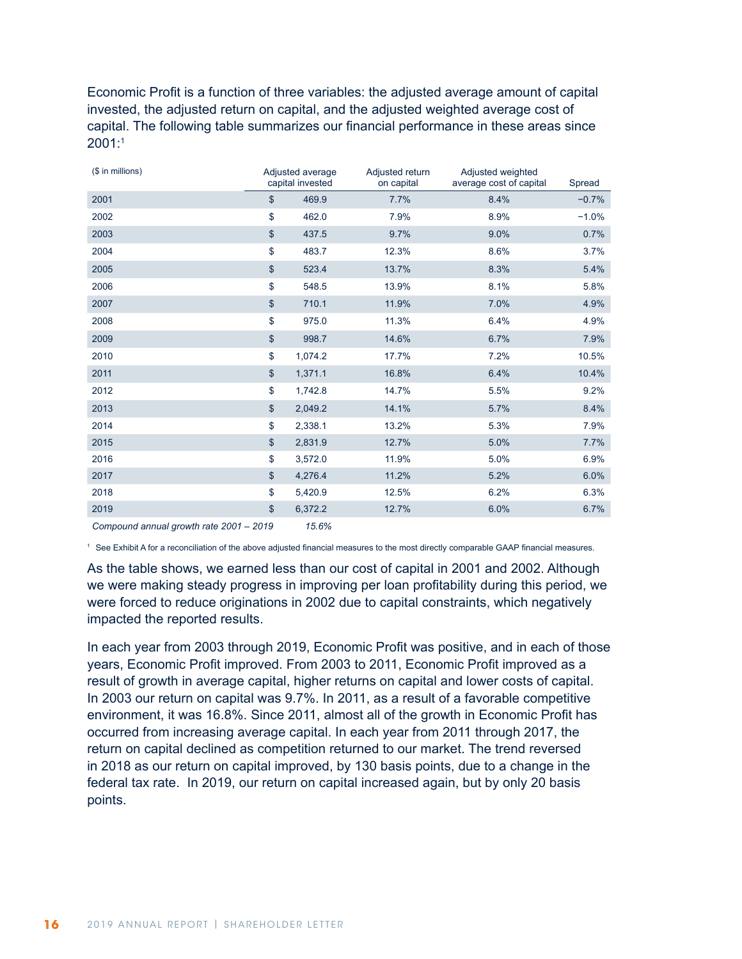Economic Profit is a function of three variables: the adjusted average amount of capital invested, the adjusted return on capital, and the adjusted weighted average cost of capital. The following table summarizes our financial performance in these areas since 2001:1

| (\$ in millions) |               | Adjusted average<br>capital invested | Adjusted return<br>on capital | Adjusted weighted<br>average cost of capital | Spread  |
|------------------|---------------|--------------------------------------|-------------------------------|----------------------------------------------|---------|
| 2001             | $\mathsf{\$}$ | 469.9                                | 7.7%                          | 8.4%                                         | $-0.7%$ |
| 2002             | \$            | 462.0                                | 7.9%                          | 8.9%                                         | $-1.0%$ |
| 2003             | \$            | 437.5                                | 9.7%                          | 9.0%                                         | 0.7%    |
| 2004             | \$            | 483.7                                | 12.3%                         | 8.6%                                         | 3.7%    |
| 2005             | \$            | 523.4                                | 13.7%                         | 8.3%                                         | 5.4%    |
| 2006             | \$            | 548.5                                | 13.9%                         | 8.1%                                         | 5.8%    |
| 2007             | \$            | 710.1                                | 11.9%                         | 7.0%                                         | 4.9%    |
| 2008             | \$            | 975.0                                | 11.3%                         | 6.4%                                         | 4.9%    |
| 2009             | \$            | 998.7                                | 14.6%                         | 6.7%                                         | 7.9%    |
| 2010             | \$            | 1,074.2                              | 17.7%                         | 7.2%                                         | 10.5%   |
| 2011             | \$            | 1,371.1                              | 16.8%                         | 6.4%                                         | 10.4%   |
| 2012             | \$            | 1,742.8                              | 14.7%                         | 5.5%                                         | 9.2%    |
| 2013             | $\mathsf{\$}$ | 2,049.2                              | 14.1%                         | 5.7%                                         | 8.4%    |
| 2014             | \$            | 2,338.1                              | 13.2%                         | 5.3%                                         | 7.9%    |
| 2015             | \$            | 2,831.9                              | 12.7%                         | 5.0%                                         | 7.7%    |
| 2016             | \$            | 3,572.0                              | 11.9%                         | 5.0%                                         | 6.9%    |
| 2017             | $\mathsf{\$}$ | 4,276.4                              | 11.2%                         | 5.2%                                         | 6.0%    |
| 2018             | \$            | 5,420.9                              | 12.5%                         | 6.2%                                         | 6.3%    |
| 2019             | $\mathsf{\$}$ | 6,372.2                              | 12.7%                         | 6.0%                                         | 6.7%    |

*Compound annual growth rate 2001* – *2019 15.6%*

<sup>1</sup> See Exhibit A for a reconciliation of the above adjusted financial measures to the most directly comparable GAAP financial measures.

As the table shows, we earned less than our cost of capital in 2001 and 2002. Although we were making steady progress in improving per loan profitability during this period, we were forced to reduce originations in 2002 due to capital constraints, which negatively impacted the reported results.

In each year from 2003 through 2019, Economic Profit was positive, and in each of those years, Economic Profit improved. From 2003 to 2011, Economic Profit improved as a result of growth in average capital, higher returns on capital and lower costs of capital. In 2003 our return on capital was 9.7%. In 2011, as a result of a favorable competitive environment, it was 16.8%. Since 2011, almost all of the growth in Economic Profit has occurred from increasing average capital. In each year from 2011 through 2017, the return on capital declined as competition returned to our market. The trend reversed in 2018 as our return on capital improved, by 130 basis points, due to a change in the federal tax rate. In 2019, our return on capital increased again, but by only 20 basis points.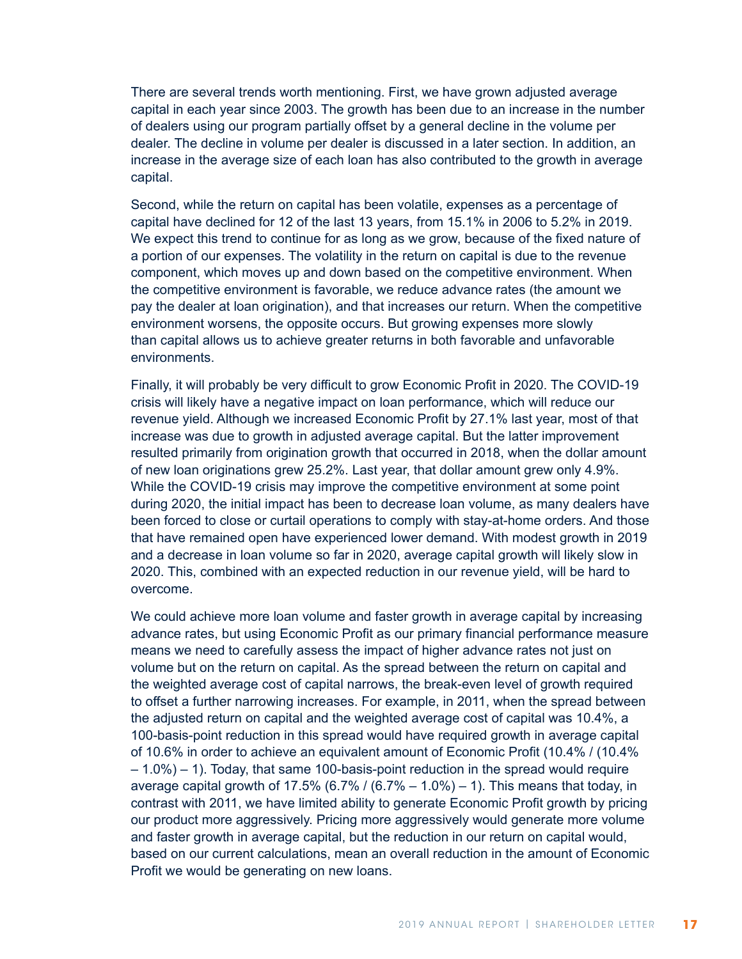There are several trends worth mentioning. First, we have grown adjusted average capital in each year since 2003. The growth has been due to an increase in the number of dealers using our program partially offset by a general decline in the volume per dealer. The decline in volume per dealer is discussed in a later section. In addition, an increase in the average size of each loan has also contributed to the growth in average capital.

Second, while the return on capital has been volatile, expenses as a percentage of capital have declined for 12 of the last 13 years, from 15.1% in 2006 to 5.2% in 2019. We expect this trend to continue for as long as we grow, because of the fixed nature of a portion of our expenses. The volatility in the return on capital is due to the revenue component, which moves up and down based on the competitive environment. When the competitive environment is favorable, we reduce advance rates (the amount we pay the dealer at loan origination), and that increases our return. When the competitive environment worsens, the opposite occurs. But growing expenses more slowly than capital allows us to achieve greater returns in both favorable and unfavorable environments.

Finally, it will probably be very difficult to grow Economic Profit in 2020. The COVID-19 crisis will likely have a negative impact on loan performance, which will reduce our revenue yield. Although we increased Economic Profit by 27.1% last year, most of that increase was due to growth in adjusted average capital. But the latter improvement resulted primarily from origination growth that occurred in 2018, when the dollar amount of new loan originations grew 25.2%. Last year, that dollar amount grew only 4.9%. While the COVID-19 crisis may improve the competitive environment at some point during 2020, the initial impact has been to decrease loan volume, as many dealers have been forced to close or curtail operations to comply with stay-at-home orders. And those that have remained open have experienced lower demand. With modest growth in 2019 and a decrease in loan volume so far in 2020, average capital growth will likely slow in 2020. This, combined with an expected reduction in our revenue yield, will be hard to overcome.

We could achieve more loan volume and faster growth in average capital by increasing advance rates, but using Economic Profit as our primary financial performance measure means we need to carefully assess the impact of higher advance rates not just on volume but on the return on capital. As the spread between the return on capital and the weighted average cost of capital narrows, the break-even level of growth required to offset a further narrowing increases. For example, in 2011, when the spread between the adjusted return on capital and the weighted average cost of capital was 10.4%, a 100-basis-point reduction in this spread would have required growth in average capital of 10.6% in order to achieve an equivalent amount of Economic Profit (10.4% / (10.4% – 1.0%) – 1). Today, that same 100-basis-point reduction in the spread would require average capital growth of 17.5% (6.7% /  $(6.7% - 1.0%) - 1$ ). This means that today, in contrast with 2011, we have limited ability to generate Economic Profit growth by pricing our product more aggressively. Pricing more aggressively would generate more volume and faster growth in average capital, but the reduction in our return on capital would, based on our current calculations, mean an overall reduction in the amount of Economic Profit we would be generating on new loans.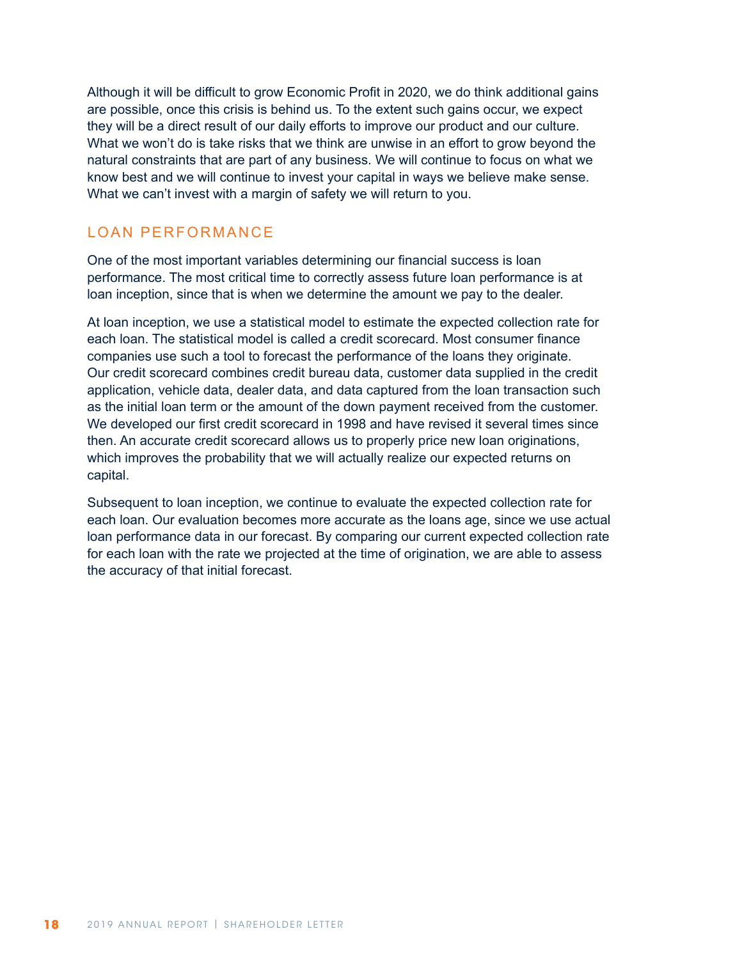Although it will be difficult to grow Economic Profit in 2020, we do think additional gains are possible, once this crisis is behind us. To the extent such gains occur, we expect they will be a direct result of our daily efforts to improve our product and our culture. What we won't do is take risks that we think are unwise in an effort to grow beyond the natural constraints that are part of any business. We will continue to focus on what we know best and we will continue to invest your capital in ways we believe make sense. What we can't invest with a margin of safety we will return to you.

# LOAN PERFORMANCE

One of the most important variables determining our financial success is loan performance. The most critical time to correctly assess future loan performance is at loan inception, since that is when we determine the amount we pay to the dealer.

At loan inception, we use a statistical model to estimate the expected collection rate for each loan. The statistical model is called a credit scorecard. Most consumer finance companies use such a tool to forecast the performance of the loans they originate. Our credit scorecard combines credit bureau data, customer data supplied in the credit application, vehicle data, dealer data, and data captured from the loan transaction such as the initial loan term or the amount of the down payment received from the customer. We developed our first credit scorecard in 1998 and have revised it several times since then. An accurate credit scorecard allows us to properly price new loan originations, which improves the probability that we will actually realize our expected returns on capital.

Subsequent to loan inception, we continue to evaluate the expected collection rate for each loan. Our evaluation becomes more accurate as the loans age, since we use actual loan performance data in our forecast. By comparing our current expected collection rate for each loan with the rate we projected at the time of origination, we are able to assess the accuracy of that initial forecast.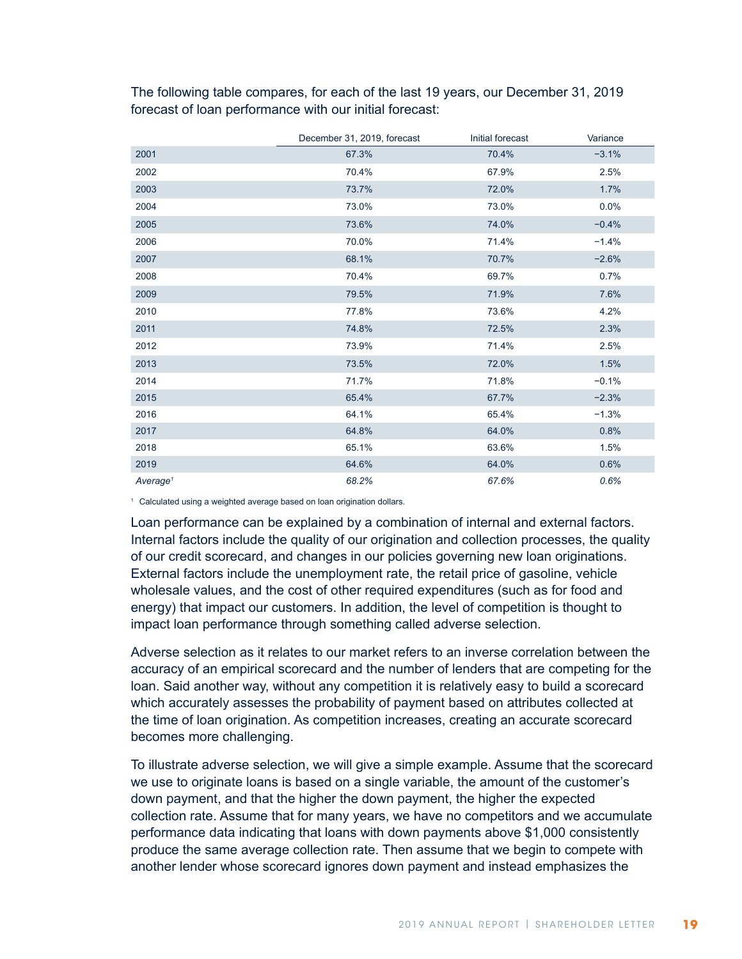|                      | December 31, 2019, forecast | Initial forecast | Variance |
|----------------------|-----------------------------|------------------|----------|
| 2001                 | 67.3%                       | 70.4%            | $-3.1%$  |
| 2002                 | 70.4%                       | 67.9%            | 2.5%     |
| 2003                 | 73.7%                       | 72.0%            | 1.7%     |
| 2004                 | 73.0%                       | 73.0%            | 0.0%     |
| 2005                 | 73.6%                       | 74.0%            | $-0.4%$  |
| 2006                 | 70.0%                       | 71.4%            | $-1.4%$  |
| 2007                 | 68.1%                       | 70.7%            | $-2.6%$  |
| 2008                 | 70.4%                       | 69.7%            | 0.7%     |
| 2009                 | 79.5%                       | 71.9%            | 7.6%     |
| 2010                 | 77.8%                       | 73.6%            | 4.2%     |
| 2011                 | 74.8%                       | 72.5%            | 2.3%     |
| 2012                 | 73.9%                       | 71.4%            | 2.5%     |
| 2013                 | 73.5%                       | 72.0%            | 1.5%     |
| 2014                 | 71.7%                       | 71.8%            | $-0.1%$  |
| 2015                 | 65.4%                       | 67.7%            | $-2.3%$  |
| 2016                 | 64.1%                       | 65.4%            | $-1.3%$  |
| 2017                 | 64.8%                       | 64.0%            | 0.8%     |
| 2018                 | 65.1%                       | 63.6%            | 1.5%     |
| 2019                 | 64.6%                       | 64.0%            | 0.6%     |
| Average <sup>1</sup> | 68.2%                       | 67.6%            | 0.6%     |

The following table compares, for each of the last 19 years, our December 31, 2019 forecast of loan performance with our initial forecast:

<sup>1</sup> Calculated using a weighted average based on loan origination dollars.

Loan performance can be explained by a combination of internal and external factors. Internal factors include the quality of our origination and collection processes, the quality of our credit scorecard, and changes in our policies governing new loan originations. External factors include the unemployment rate, the retail price of gasoline, vehicle wholesale values, and the cost of other required expenditures (such as for food and energy) that impact our customers. In addition, the level of competition is thought to impact loan performance through something called adverse selection.

Adverse selection as it relates to our market refers to an inverse correlation between the accuracy of an empirical scorecard and the number of lenders that are competing for the loan. Said another way, without any competition it is relatively easy to build a scorecard which accurately assesses the probability of payment based on attributes collected at the time of loan origination. As competition increases, creating an accurate scorecard becomes more challenging.

To illustrate adverse selection, we will give a simple example. Assume that the scorecard we use to originate loans is based on a single variable, the amount of the customer's down payment, and that the higher the down payment, the higher the expected collection rate. Assume that for many years, we have no competitors and we accumulate performance data indicating that loans with down payments above \$1,000 consistently produce the same average collection rate. Then assume that we begin to compete with another lender whose scorecard ignores down payment and instead emphasizes the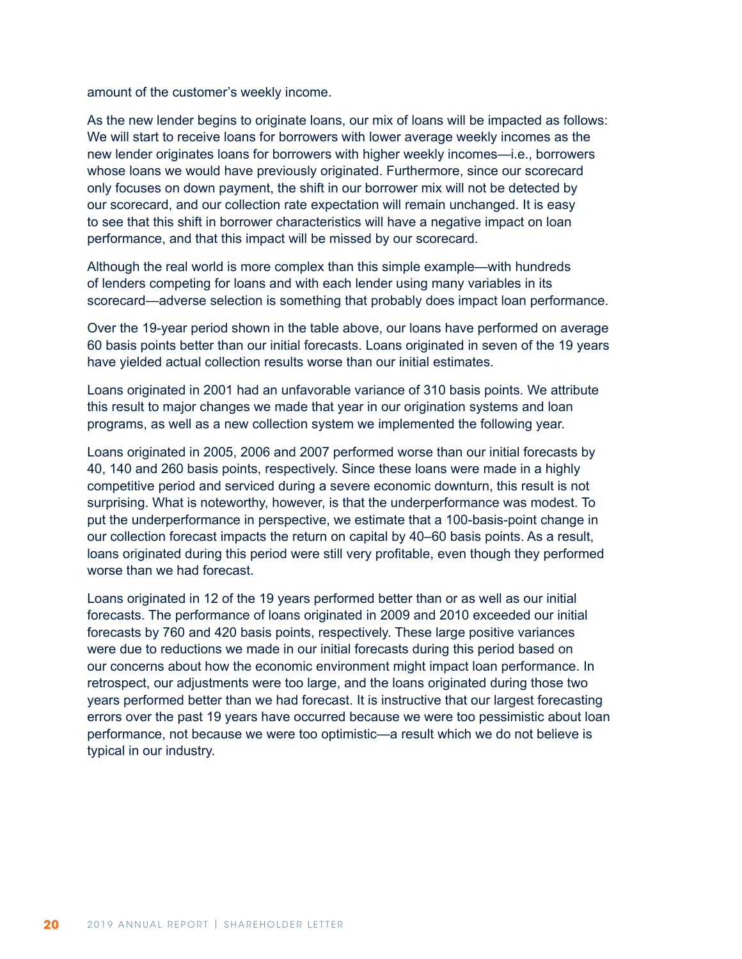amount of the customer's weekly income.

As the new lender begins to originate loans, our mix of loans will be impacted as follows: We will start to receive loans for borrowers with lower average weekly incomes as the new lender originates loans for borrowers with higher weekly incomes—i.e., borrowers whose loans we would have previously originated. Furthermore, since our scorecard only focuses on down payment, the shift in our borrower mix will not be detected by our scorecard, and our collection rate expectation will remain unchanged. It is easy to see that this shift in borrower characteristics will have a negative impact on loan performance, and that this impact will be missed by our scorecard.

Although the real world is more complex than this simple example—with hundreds of lenders competing for loans and with each lender using many variables in its scorecard—adverse selection is something that probably does impact loan performance.

Over the 19-year period shown in the table above, our loans have performed on average 60 basis points better than our initial forecasts. Loans originated in seven of the 19 years have yielded actual collection results worse than our initial estimates.

Loans originated in 2001 had an unfavorable variance of 310 basis points. We attribute this result to major changes we made that year in our origination systems and loan programs, as well as a new collection system we implemented the following year.

Loans originated in 2005, 2006 and 2007 performed worse than our initial forecasts by 40, 140 and 260 basis points, respectively. Since these loans were made in a highly competitive period and serviced during a severe economic downturn, this result is not surprising. What is noteworthy, however, is that the underperformance was modest. To put the underperformance in perspective, we estimate that a 100-basis-point change in our collection forecast impacts the return on capital by 40–60 basis points. As a result, loans originated during this period were still very profitable, even though they performed worse than we had forecast.

Loans originated in 12 of the 19 years performed better than or as well as our initial forecasts. The performance of loans originated in 2009 and 2010 exceeded our initial forecasts by 760 and 420 basis points, respectively. These large positive variances were due to reductions we made in our initial forecasts during this period based on our concerns about how the economic environment might impact loan performance. In retrospect, our adjustments were too large, and the loans originated during those two years performed better than we had forecast. It is instructive that our largest forecasting errors over the past 19 years have occurred because we were too pessimistic about loan performance, not because we were too optimistic—a result which we do not believe is typical in our industry.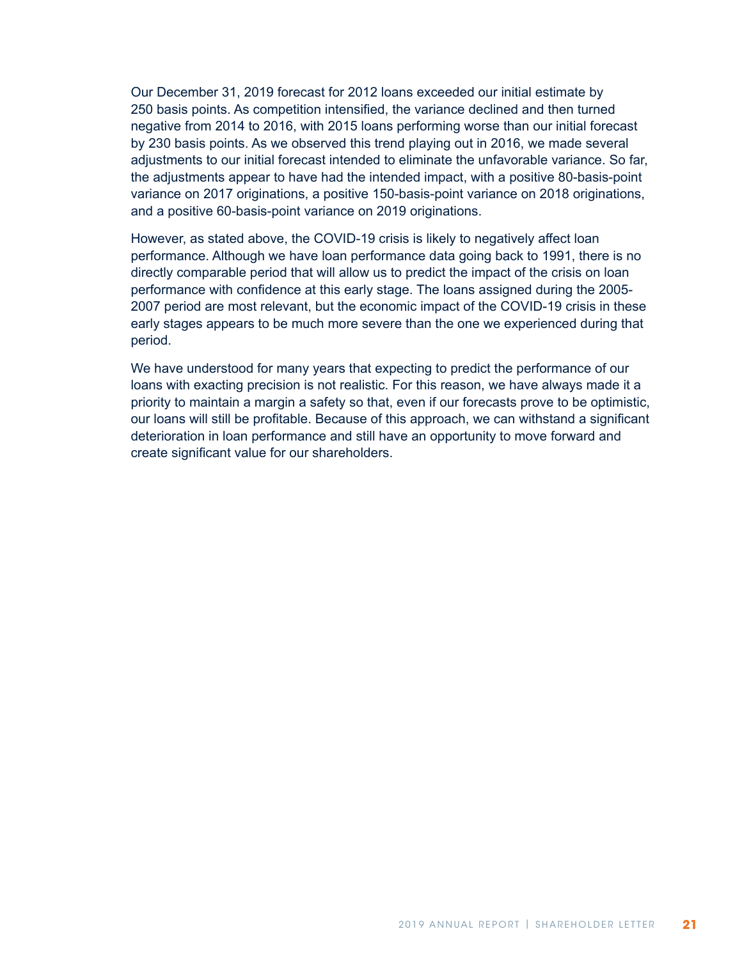Our December 31, 2019 forecast for 2012 loans exceeded our initial estimate by 250 basis points. As competition intensified, the variance declined and then turned negative from 2014 to 2016, with 2015 loans performing worse than our initial forecast by 230 basis points. As we observed this trend playing out in 2016, we made several adjustments to our initial forecast intended to eliminate the unfavorable variance. So far, the adjustments appear to have had the intended impact, with a positive 80-basis-point variance on 2017 originations, a positive 150-basis-point variance on 2018 originations, and a positive 60-basis-point variance on 2019 originations.

However, as stated above, the COVID-19 crisis is likely to negatively affect loan performance. Although we have loan performance data going back to 1991, there is no directly comparable period that will allow us to predict the impact of the crisis on loan performance with confidence at this early stage. The loans assigned during the 2005- 2007 period are most relevant, but the economic impact of the COVID-19 crisis in these early stages appears to be much more severe than the one we experienced during that period.

We have understood for many years that expecting to predict the performance of our loans with exacting precision is not realistic. For this reason, we have always made it a priority to maintain a margin a safety so that, even if our forecasts prove to be optimistic, our loans will still be profitable. Because of this approach, we can withstand a significant deterioration in loan performance and still have an opportunity to move forward and create significant value for our shareholders.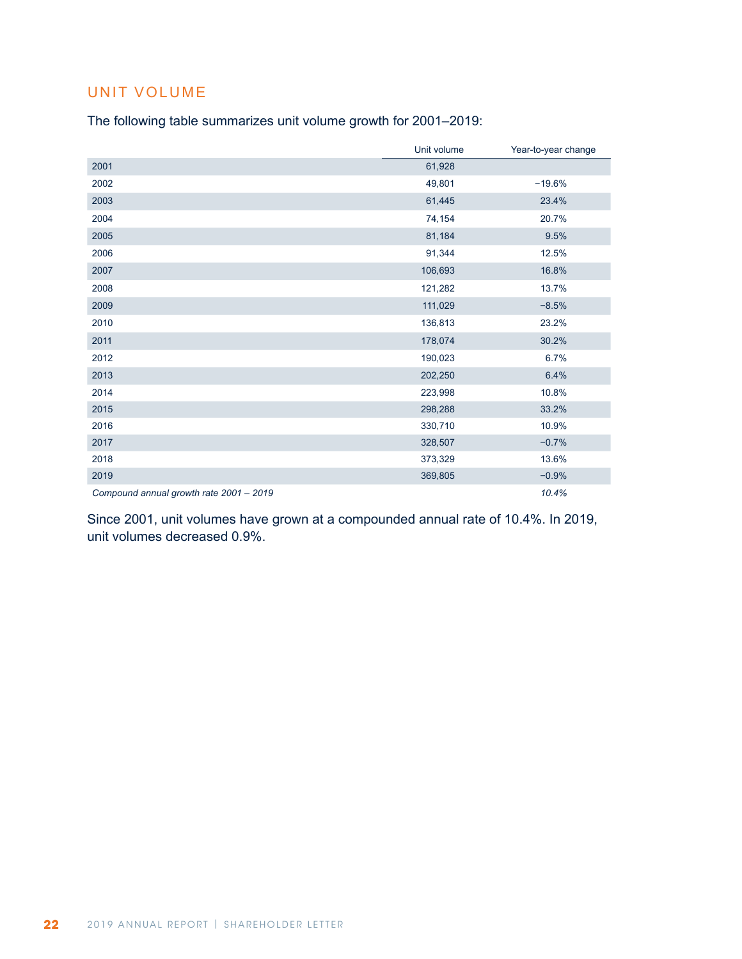# UNIT VOLUME

The following table summarizes unit volume growth for 2001–2019:

|                                         | Unit volume | Year-to-year change |
|-----------------------------------------|-------------|---------------------|
| 2001                                    | 61,928      |                     |
| 2002                                    | 49,801      | $-19.6%$            |
| 2003                                    | 61,445      | 23.4%               |
| 2004                                    | 74,154      | 20.7%               |
| 2005                                    | 81,184      | 9.5%                |
| 2006                                    | 91,344      | 12.5%               |
| 2007                                    | 106,693     | 16.8%               |
| 2008                                    | 121,282     | 13.7%               |
| 2009                                    | 111,029     | $-8.5%$             |
| 2010                                    | 136,813     | 23.2%               |
| 2011                                    | 178,074     | 30.2%               |
| 2012                                    | 190,023     | 6.7%                |
| 2013                                    | 202,250     | 6.4%                |
| 2014                                    | 223,998     | 10.8%               |
| 2015                                    | 298,288     | 33.2%               |
| 2016                                    | 330,710     | 10.9%               |
| 2017                                    | 328,507     | $-0.7%$             |
| 2018                                    | 373,329     | 13.6%               |
| 2019                                    | 369,805     | $-0.9%$             |
| Compound annual growth rate 2001 - 2019 |             | 10.4%               |

Since 2001, unit volumes have grown at a compounded annual rate of 10.4%. In 2019, unit volumes decreased 0.9%.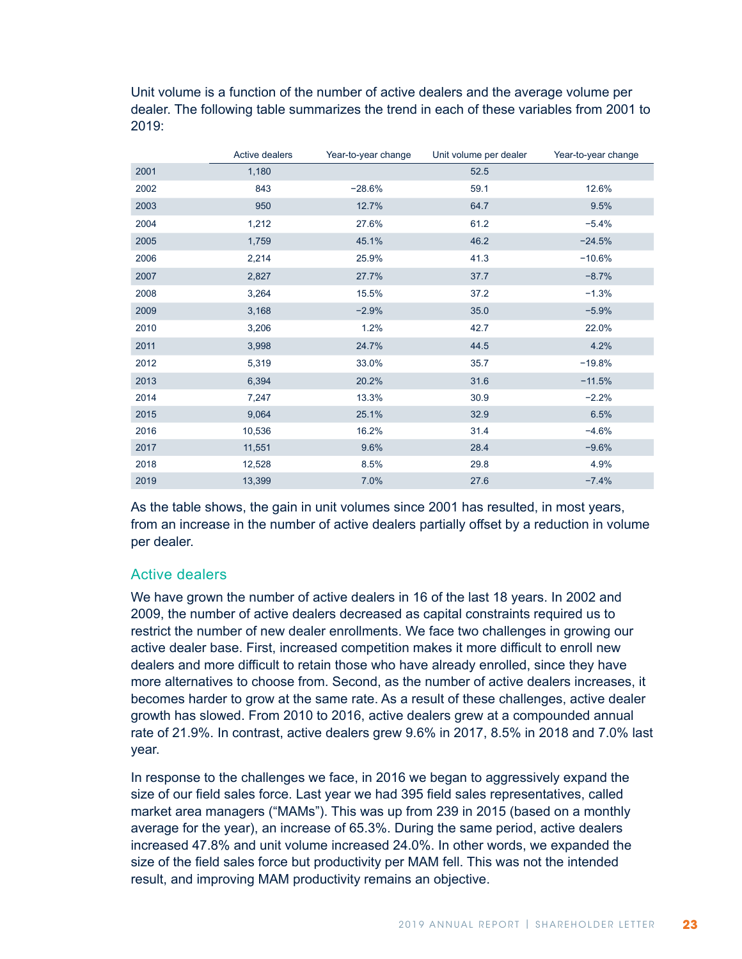Unit volume is a function of the number of active dealers and the average volume per dealer. The following table summarizes the trend in each of these variables from 2001 to 2019:

|      | Active dealers | Year-to-year change | Unit volume per dealer | Year-to-year change |
|------|----------------|---------------------|------------------------|---------------------|
| 2001 | 1,180          |                     | 52.5                   |                     |
| 2002 | 843            | $-28.6%$            | 59.1                   | 12.6%               |
| 2003 | 950            | 12.7%               | 64.7                   | 9.5%                |
| 2004 | 1,212          | 27.6%               | 61.2                   | $-5.4%$             |
| 2005 | 1,759          | 45.1%               | 46.2                   | $-24.5%$            |
| 2006 | 2,214          | 25.9%               | 41.3                   | $-10.6%$            |
| 2007 | 2,827          | 27.7%               | 37.7                   | $-8.7%$             |
| 2008 | 3,264          | 15.5%               | 37.2                   | $-1.3%$             |
| 2009 | 3,168          | $-2.9%$             | 35.0                   | $-5.9%$             |
| 2010 | 3,206          | 1.2%                | 42.7                   | 22.0%               |
| 2011 | 3,998          | 24.7%               | 44.5                   | 4.2%                |
| 2012 | 5,319          | 33.0%               | 35.7                   | $-19.8%$            |
| 2013 | 6,394          | 20.2%               | 31.6                   | $-11.5%$            |
| 2014 | 7,247          | 13.3%               | 30.9                   | $-2.2%$             |
| 2015 | 9,064          | 25.1%               | 32.9                   | 6.5%                |
| 2016 | 10,536         | 16.2%               | 31.4                   | $-4.6%$             |
| 2017 | 11,551         | 9.6%                | 28.4                   | $-9.6%$             |
| 2018 | 12,528         | 8.5%                | 29.8                   | 4.9%                |
| 2019 | 13,399         | 7.0%                | 27.6                   | $-7.4%$             |

As the table shows, the gain in unit volumes since 2001 has resulted, in most years, from an increase in the number of active dealers partially offset by a reduction in volume per dealer.

### Active dealers

We have grown the number of active dealers in 16 of the last 18 years. In 2002 and 2009, the number of active dealers decreased as capital constraints required us to restrict the number of new dealer enrollments. We face two challenges in growing our active dealer base. First, increased competition makes it more difficult to enroll new dealers and more difficult to retain those who have already enrolled, since they have more alternatives to choose from. Second, as the number of active dealers increases, it becomes harder to grow at the same rate. As a result of these challenges, active dealer growth has slowed. From 2010 to 2016, active dealers grew at a compounded annual rate of 21.9%. In contrast, active dealers grew 9.6% in 2017, 8.5% in 2018 and 7.0% last year.

In response to the challenges we face, in 2016 we began to aggressively expand the size of our field sales force. Last year we had 395 field sales representatives, called market area managers ("MAMs"). This was up from 239 in 2015 (based on a monthly average for the year), an increase of 65.3%. During the same period, active dealers increased 47.8% and unit volume increased 24.0%. In other words, we expanded the size of the field sales force but productivity per MAM fell. This was not the intended result, and improving MAM productivity remains an objective.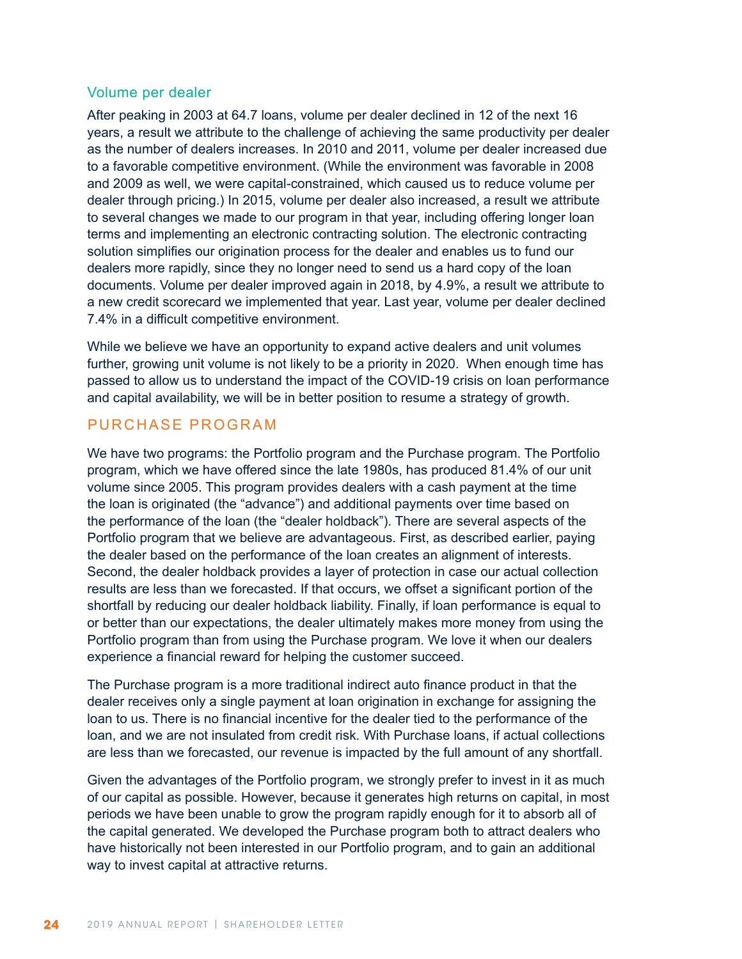#### Volume per dealer

After peaking in 2003 at 64.7 loans, volume per dealer declined in 12 of the next 16 years, a result we attribute to the challenge of achieving the same productivity per dealer as the number of dealers increases. In 2010 and 2011, volume per dealer increased due to a favorable competitive environment. (While the environment was favorable in 2008 and 2009 as well, we were capital-constrained, which caused us to reduce volume per dealer through pricing.) In 2015, volume per dealer also increased, a result we attribute to several changes we made to our program in that year, including offering longer loan terms and implementing an electronic contracting solution. The electronic contracting solution simplifies our origination process for the dealer and enables us to fund our dealers more rapidly, since they no longer need to send us a hard copy of the loan documents. Volume per dealer improved again in 2018, by 4.9%, a result we attribute to a new credit scorecard we implemented that year. Last year, volume per dealer declined 7.4% in a difficult competitive environment.

While we believe we have an opportunity to expand active dealers and unit volumes further, growing unit volume is not likely to be a priority in 2020. When enough time has passed to allow us to understand the impact of the COVID-19 crisis on loan performance and capital availability, we will be in better position to resume a strategy of growth.

#### PURCHASE PROGRAM

We have two programs: the Portfolio program and the Purchase program. The Portfolio program, which we have offered since the late 1980s, has produced 81.4% of our unit volume since 2005. This program provides dealers with a cash payment at the time the loan is originated (the "advance") and additional payments over time based on the performance of the loan (the "dealer holdback"). There are several aspects of the Portfolio program that we believe are advantageous. First, as described earlier, paying the dealer based on the performance of the loan creates an alignment of interests. Second, the dealer holdback provides a layer of protection in case our actual collection results are less than we forecasted. If that occurs, we offset a significant portion of the shortfall by reducing our dealer holdback liability. Finally, if loan performance is equal to or better than our expectations, the dealer ultimately makes more money from using the Portfolio program than from using the Purchase program. We love it when our dealers experience a financial reward for helping the customer succeed.

The Purchase program is a more traditional indirect auto finance product in that the dealer receives only a single payment at loan origination in exchange for assigning the loan to us. There is no financial incentive for the dealer tied to the performance of the loan, and we are not insulated from credit risk. With Purchase loans, if actual collections are less than we forecasted, our revenue is impacted by the full amount of any shortfall.

Given the advantages of the Portfolio program, we strongly prefer to invest in it as much of our capital as possible. However, because it generates high returns on capital, in most periods we have been unable to grow the program rapidly enough for it to absorb all of the capital generated. We developed the Purchase program both to attract dealers who have historically not been interested in our Portfolio program, and to gain an additional way to invest capital at attractive returns.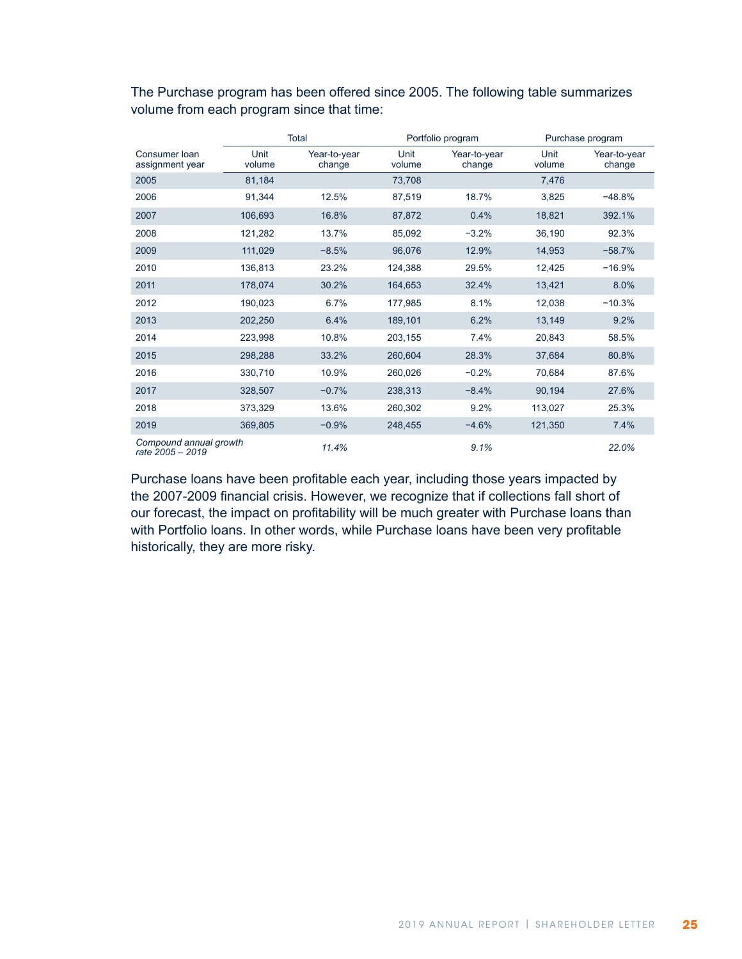|                                            |                | Total                  |                | Portfolio program      | Purchase program |                        |  |  |
|--------------------------------------------|----------------|------------------------|----------------|------------------------|------------------|------------------------|--|--|
| Consumer Ioan<br>assignment year           | Unit<br>volume | Year-to-year<br>change | Unit<br>volume | Year-to-year<br>change | Unit<br>volume   | Year-to-year<br>change |  |  |
| 2005<br>81,184                             |                |                        | 73,708         |                        | 7,476            |                        |  |  |
| 2006                                       | 91,344         | 12.5%                  | 87,519         | 18.7%                  | 3,825            | $-48.8%$               |  |  |
| 2007                                       | 106,693        | 16.8%                  | 87,872         | 0.4%                   | 18,821           | 392.1%                 |  |  |
| 2008                                       | 121,282        | 13.7%                  | 85,092         | $-3.2%$                | 36,190           | 92.3%                  |  |  |
| 2009                                       | 111,029        | $-8.5%$                | 96,076         | 12.9%                  | 14,953           | $-58.7%$               |  |  |
| 2010                                       | 136,813        | 23.2%                  | 124,388        | 29.5%                  | 12,425           | $-16.9%$               |  |  |
| 2011                                       | 178,074        | 30.2%                  | 164,653        | 32.4%                  | 13,421           | 8.0%                   |  |  |
| 2012                                       | 190,023        | 6.7%                   | 177,985        | 8.1%                   | 12,038           | $-10.3%$               |  |  |
| 2013                                       | 202,250        | 6.4%                   | 189,101        | 6.2%                   | 13,149           | 9.2%                   |  |  |
| 2014                                       | 223,998        | 10.8%                  | 203,155        | 7.4%                   | 20,843           | 58.5%                  |  |  |
| 2015                                       | 298,288        | 33.2%                  | 260,604        | 28.3%                  | 37,684           | 80.8%                  |  |  |
| 2016                                       | 330,710        | 10.9%                  | 260,026        | $-0.2%$                | 70,684           | 87.6%                  |  |  |
| 2017                                       | 328,507        | $-0.7%$                | 238,313        | $-8.4%$                | 90,194           | 27.6%                  |  |  |
| 2018                                       | 373,329        | 13.6%                  | 260,302        | 9.2%                   | 113,027          | 25.3%                  |  |  |
| 2019                                       | 369,805        | $-0.9%$                | 248,455        | $-4.6%$                | 121,350          | 7.4%                   |  |  |
| Compound annual growth<br>rate 2005 - 2019 |                | 11.4%                  |                | 9.1%                   |                  | 22.0%                  |  |  |

The Purchase program has been offered since 2005. The following table summarizes volume from each program since that time:

Purchase loans have been profitable each year, including those years impacted by the 2007-2009 financial crisis. However, we recognize that if collections fall short of our forecast, the impact on profitability will be much greater with Purchase loans than with Portfolio loans. In other words, while Purchase loans have been very profitable historically, they are more risky.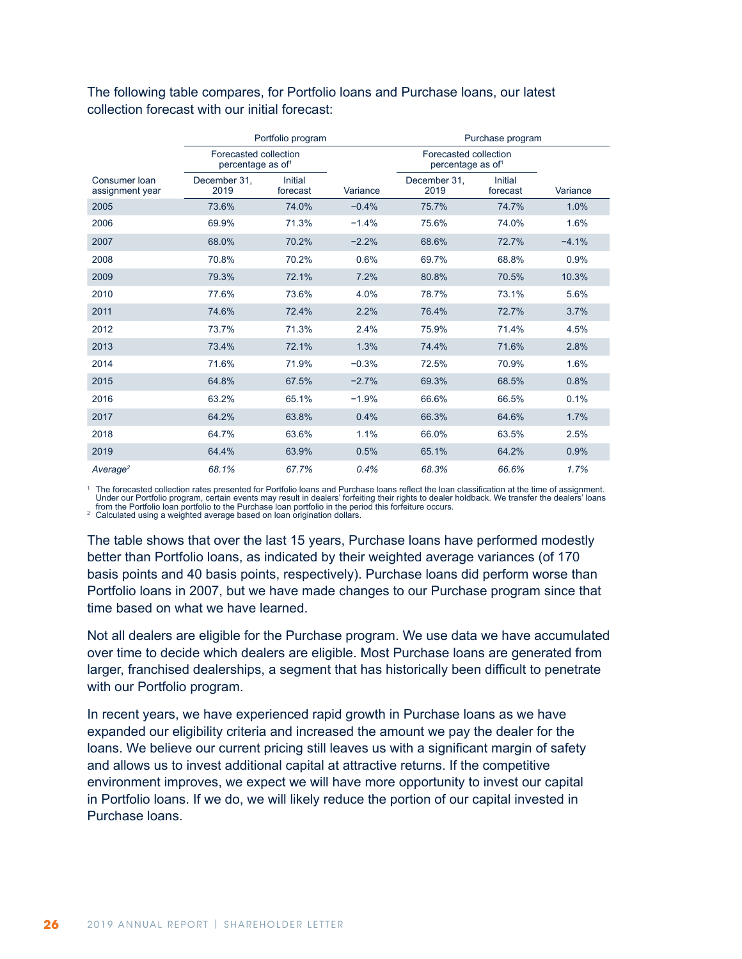#### The following table compares, for Portfolio loans and Purchase loans, our latest collection forecast with our initial forecast:

|                                  |                                                        | Portfolio program   |          | Purchase program                                       |                     |          |  |  |  |  |  |
|----------------------------------|--------------------------------------------------------|---------------------|----------|--------------------------------------------------------|---------------------|----------|--|--|--|--|--|
|                                  | Forecasted collection<br>percentage as of <sup>1</sup> |                     |          | Forecasted collection<br>percentage as of <sup>1</sup> |                     |          |  |  |  |  |  |
| Consumer Ioan<br>assignment year | December 31.<br>2019                                   | Initial<br>forecast | Variance | December 31.<br>2019                                   | Initial<br>forecast | Variance |  |  |  |  |  |
| 2005                             | 73.6%                                                  | 74.0%               | $-0.4%$  | 75.7%                                                  | 74.7%               | 1.0%     |  |  |  |  |  |
| 2006                             | 69.9%                                                  | 71.3%               | $-1.4%$  | 75.6%                                                  | 74.0%               | 1.6%     |  |  |  |  |  |
| 2007                             | 68.0%                                                  | 70.2%               | $-2.2%$  | 68.6%                                                  | 72.7%               | $-4.1%$  |  |  |  |  |  |
| 2008                             | 70.8%                                                  | 70.2%               | 0.6%     | 69.7%                                                  | 68.8%               | 0.9%     |  |  |  |  |  |
| 2009                             | 79.3%                                                  | 72.1%               | 7.2%     | 80.8%                                                  | 70.5%               | 10.3%    |  |  |  |  |  |
| 2010                             | 77.6%                                                  | 73.6%               | 4.0%     | 78.7%                                                  | 73.1%               | 5.6%     |  |  |  |  |  |
| 2011                             | 74.6%                                                  | 72.4%               | 2.2%     | 76.4%                                                  | 72.7%               | 3.7%     |  |  |  |  |  |
| 2012                             | 73.7%                                                  | 71.3%               | 2.4%     | 75.9%                                                  | 71.4%               | 4.5%     |  |  |  |  |  |
| 2013                             | 73.4%                                                  | 72.1%               | 1.3%     | 74.4%                                                  | 71.6%               | 2.8%     |  |  |  |  |  |
| 2014                             | 71.6%                                                  | 71.9%               | $-0.3%$  | 72.5%                                                  | 70.9%               | 1.6%     |  |  |  |  |  |
| 2015                             | 64.8%                                                  | 67.5%               | $-2.7%$  | 69.3%                                                  | 68.5%               | 0.8%     |  |  |  |  |  |
| 2016                             | 63.2%                                                  | 65.1%               | $-1.9%$  | 66.6%                                                  | 66.5%               | 0.1%     |  |  |  |  |  |
| 2017                             | 64.2%                                                  | 63.8%               | 0.4%     | 66.3%                                                  | 64.6%               | 1.7%     |  |  |  |  |  |
| 2018                             | 64.7%                                                  | 63.6%               | 1.1%     | 66.0%                                                  | 63.5%               | 2.5%     |  |  |  |  |  |
| 2019                             | 64.4%<br>63.9%                                         |                     | 0.5%     | 65.1%<br>64.2%                                         |                     | 0.9%     |  |  |  |  |  |
| Average <sup>2</sup>             | 68.1%                                                  | 67.7%               | 0.4%     | 68.3%                                                  | 66.6%               | 1.7%     |  |  |  |  |  |

<sup>1</sup> The forecasted collection rates presented for Portfolio loans and Purchase loans reflect the loan classification at the time of assignment. Under our Portfolio program, certain events may result in dealers' forfeiting their rights to dealer holdback. We transfer the dealers' loans<br>from the Portfolio loan portfolio to the Purchase loan portfolio in the period t

The table shows that over the last 15 years, Purchase loans have performed modestly better than Portfolio loans, as indicated by their weighted average variances (of 170 basis points and 40 basis points, respectively). Purchase loans did perform worse than Portfolio loans in 2007, but we have made changes to our Purchase program since that time based on what we have learned.

Not all dealers are eligible for the Purchase program. We use data we have accumulated over time to decide which dealers are eligible. Most Purchase loans are generated from larger, franchised dealerships, a segment that has historically been difficult to penetrate with our Portfolio program.

In recent years, we have experienced rapid growth in Purchase loans as we have expanded our eligibility criteria and increased the amount we pay the dealer for the loans. We believe our current pricing still leaves us with a significant margin of safety and allows us to invest additional capital at attractive returns. If the competitive environment improves, we expect we will have more opportunity to invest our capital in Portfolio loans. If we do, we will likely reduce the portion of our capital invested in Purchase loans.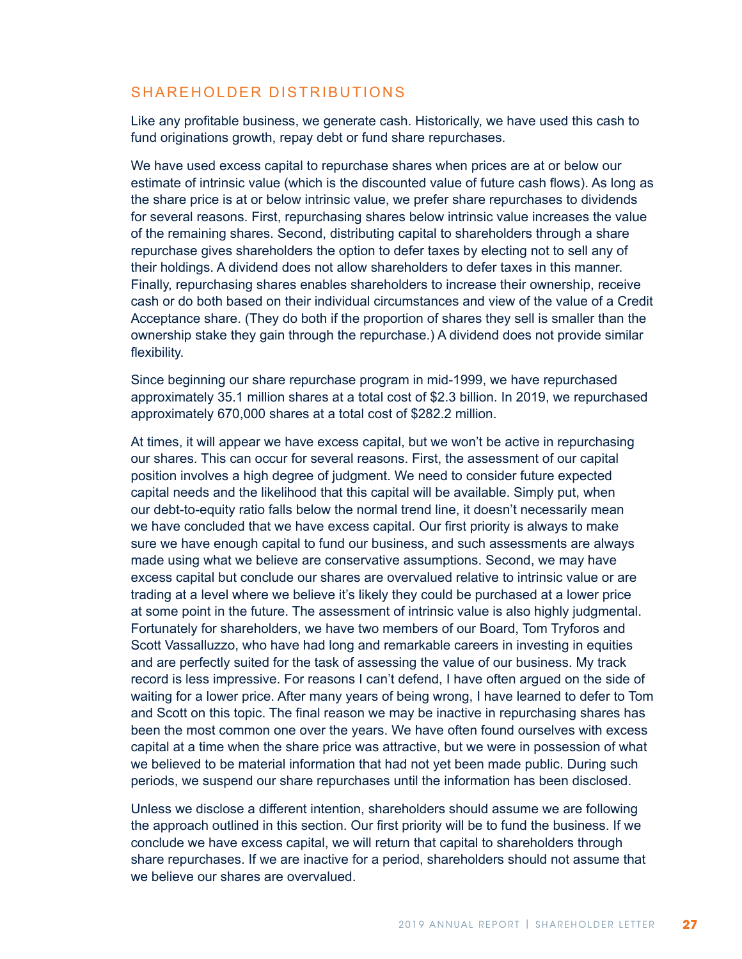## SHAREHOLDER DISTRIBUTIONS

Like any profitable business, we generate cash. Historically, we have used this cash to fund originations growth, repay debt or fund share repurchases.

We have used excess capital to repurchase shares when prices are at or below our estimate of intrinsic value (which is the discounted value of future cash flows). As long as the share price is at or below intrinsic value, we prefer share repurchases to dividends for several reasons. First, repurchasing shares below intrinsic value increases the value of the remaining shares. Second, distributing capital to shareholders through a share repurchase gives shareholders the option to defer taxes by electing not to sell any of their holdings. A dividend does not allow shareholders to defer taxes in this manner. Finally, repurchasing shares enables shareholders to increase their ownership, receive cash or do both based on their individual circumstances and view of the value of a Credit Acceptance share. (They do both if the proportion of shares they sell is smaller than the ownership stake they gain through the repurchase.) A dividend does not provide similar flexibility.

Since beginning our share repurchase program in mid-1999, we have repurchased approximately 35.1 million shares at a total cost of \$2.3 billion. In 2019, we repurchased approximately 670,000 shares at a total cost of \$282.2 million.

At times, it will appear we have excess capital, but we won't be active in repurchasing our shares. This can occur for several reasons. First, the assessment of our capital position involves a high degree of judgment. We need to consider future expected capital needs and the likelihood that this capital will be available. Simply put, when our debt-to-equity ratio falls below the normal trend line, it doesn't necessarily mean we have concluded that we have excess capital. Our first priority is always to make sure we have enough capital to fund our business, and such assessments are always made using what we believe are conservative assumptions. Second, we may have excess capital but conclude our shares are overvalued relative to intrinsic value or are trading at a level where we believe it's likely they could be purchased at a lower price at some point in the future. The assessment of intrinsic value is also highly judgmental. Fortunately for shareholders, we have two members of our Board, Tom Tryforos and Scott Vassalluzzo, who have had long and remarkable careers in investing in equities and are perfectly suited for the task of assessing the value of our business. My track record is less impressive. For reasons I can't defend, I have often argued on the side of waiting for a lower price. After many years of being wrong, I have learned to defer to Tom and Scott on this topic. The final reason we may be inactive in repurchasing shares has been the most common one over the years. We have often found ourselves with excess capital at a time when the share price was attractive, but we were in possession of what we believed to be material information that had not yet been made public. During such periods, we suspend our share repurchases until the information has been disclosed.

Unless we disclose a different intention, shareholders should assume we are following the approach outlined in this section. Our first priority will be to fund the business. If we conclude we have excess capital, we will return that capital to shareholders through share repurchases. If we are inactive for a period, shareholders should not assume that we believe our shares are overvalued.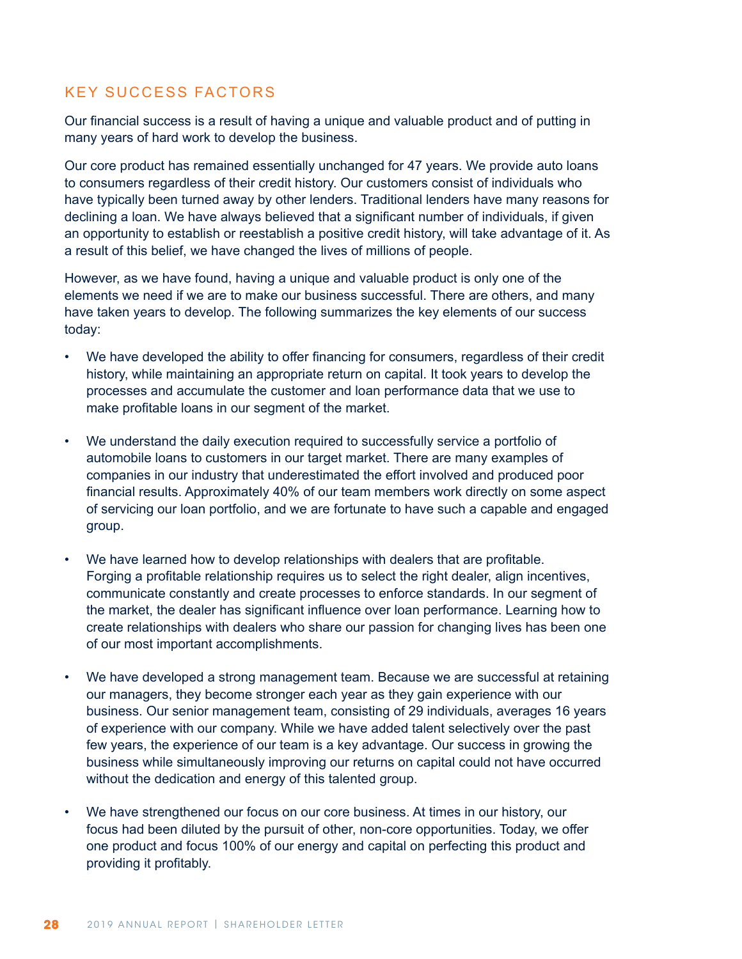# KEY SUCCESS FACTORS

Our financial success is a result of having a unique and valuable product and of putting in many years of hard work to develop the business.

Our core product has remained essentially unchanged for 47 years. We provide auto loans to consumers regardless of their credit history. Our customers consist of individuals who have typically been turned away by other lenders. Traditional lenders have many reasons for declining a loan. We have always believed that a significant number of individuals, if given an opportunity to establish or reestablish a positive credit history, will take advantage of it. As a result of this belief, we have changed the lives of millions of people.

However, as we have found, having a unique and valuable product is only one of the elements we need if we are to make our business successful. There are others, and many have taken years to develop. The following summarizes the key elements of our success today:

- We have developed the ability to offer financing for consumers, regardless of their credit history, while maintaining an appropriate return on capital. It took years to develop the processes and accumulate the customer and loan performance data that we use to make profitable loans in our segment of the market.
- We understand the daily execution required to successfully service a portfolio of automobile loans to customers in our target market. There are many examples of companies in our industry that underestimated the effort involved and produced poor financial results. Approximately 40% of our team members work directly on some aspect of servicing our loan portfolio, and we are fortunate to have such a capable and engaged group.
- We have learned how to develop relationships with dealers that are profitable. Forging a profitable relationship requires us to select the right dealer, align incentives, communicate constantly and create processes to enforce standards. In our segment of the market, the dealer has significant influence over loan performance. Learning how to create relationships with dealers who share our passion for changing lives has been one of our most important accomplishments.
- We have developed a strong management team. Because we are successful at retaining our managers, they become stronger each year as they gain experience with our business. Our senior management team, consisting of 29 individuals, averages 16 years of experience with our company. While we have added talent selectively over the past few years, the experience of our team is a key advantage. Our success in growing the business while simultaneously improving our returns on capital could not have occurred without the dedication and energy of this talented group.
- We have strengthened our focus on our core business. At times in our history, our focus had been diluted by the pursuit of other, non-core opportunities. Today, we offer one product and focus 100% of our energy and capital on perfecting this product and providing it profitably.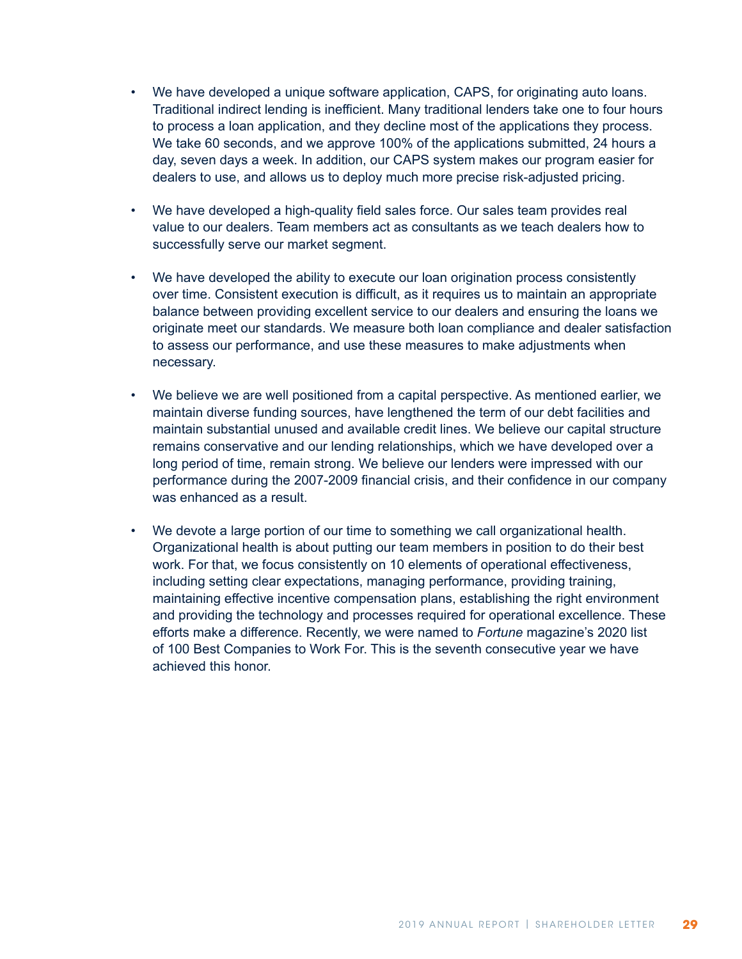- We have developed a unique software application, CAPS, for originating auto loans. Traditional indirect lending is inefficient. Many traditional lenders take one to four hours to process a loan application, and they decline most of the applications they process. We take 60 seconds, and we approve 100% of the applications submitted, 24 hours a day, seven days a week. In addition, our CAPS system makes our program easier for dealers to use, and allows us to deploy much more precise risk-adjusted pricing.
- We have developed a high-quality field sales force. Our sales team provides real value to our dealers. Team members act as consultants as we teach dealers how to successfully serve our market segment.
- We have developed the ability to execute our loan origination process consistently over time. Consistent execution is difficult, as it requires us to maintain an appropriate balance between providing excellent service to our dealers and ensuring the loans we originate meet our standards. We measure both loan compliance and dealer satisfaction to assess our performance, and use these measures to make adjustments when necessary.
- We believe we are well positioned from a capital perspective. As mentioned earlier, we maintain diverse funding sources, have lengthened the term of our debt facilities and maintain substantial unused and available credit lines. We believe our capital structure remains conservative and our lending relationships, which we have developed over a long period of time, remain strong. We believe our lenders were impressed with our performance during the 2007-2009 financial crisis, and their confidence in our company was enhanced as a result.
- We devote a large portion of our time to something we call organizational health. Organizational health is about putting our team members in position to do their best work. For that, we focus consistently on 10 elements of operational effectiveness, including setting clear expectations, managing performance, providing training, maintaining effective incentive compensation plans, establishing the right environment and providing the technology and processes required for operational excellence. These efforts make a difference. Recently, we were named to *Fortune* magazine's 2020 list of 100 Best Companies to Work For. This is the seventh consecutive year we have achieved this honor.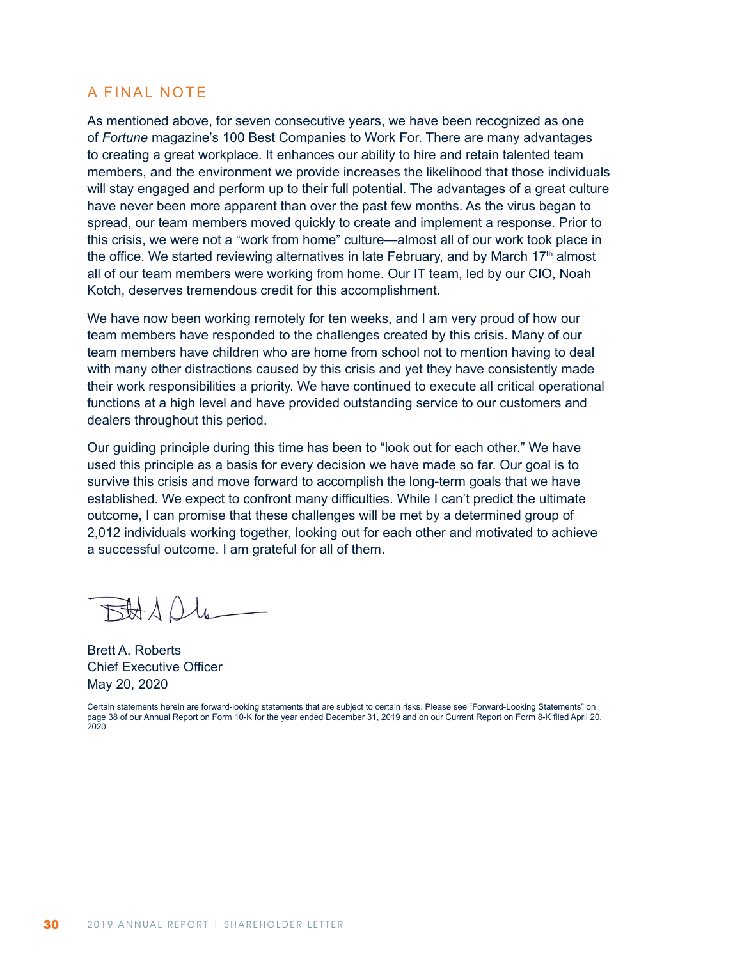### A FINAL NOTE

As mentioned above, for seven consecutive years, we have been recognized as one of *Fortune* magazine's 100 Best Companies to Work For. There are many advantages to creating a great workplace. It enhances our ability to hire and retain talented team members, and the environment we provide increases the likelihood that those individuals will stay engaged and perform up to their full potential. The advantages of a great culture have never been more apparent than over the past few months. As the virus began to spread, our team members moved quickly to create and implement a response. Prior to this crisis, we were not a "work from home" culture—almost all of our work took place in the office. We started reviewing alternatives in late February, and by March  $17<sup>th</sup>$  almost all of our team members were working from home. Our IT team, led by our CIO, Noah Kotch, deserves tremendous credit for this accomplishment.

We have now been working remotely for ten weeks, and I am very proud of how our team members have responded to the challenges created by this crisis. Many of our team members have children who are home from school not to mention having to deal with many other distractions caused by this crisis and yet they have consistently made their work responsibilities a priority. We have continued to execute all critical operational functions at a high level and have provided outstanding service to our customers and dealers throughout this period.

Our guiding principle during this time has been to "look out for each other." We have used this principle as a basis for every decision we have made so far. Our goal is to survive this crisis and move forward to accomplish the long-term goals that we have established. We expect to confront many difficulties. While I can't predict the ultimate outcome, I can promise that these challenges will be met by a determined group of 2,012 individuals working together, looking out for each other and motivated to achieve a successful outcome. I am grateful for all of them.

BADUL

Brett A. Roberts Chief Executive Officer May 20, 2020

Certain statements herein are forward-looking statements that are subject to certain risks. Please see "Forward-Looking Statements" on page 38 of our Annual Report on Form 10-K for the year ended December 31, 2019 and on our Current Report on Form 8-K filed April 20, 2020.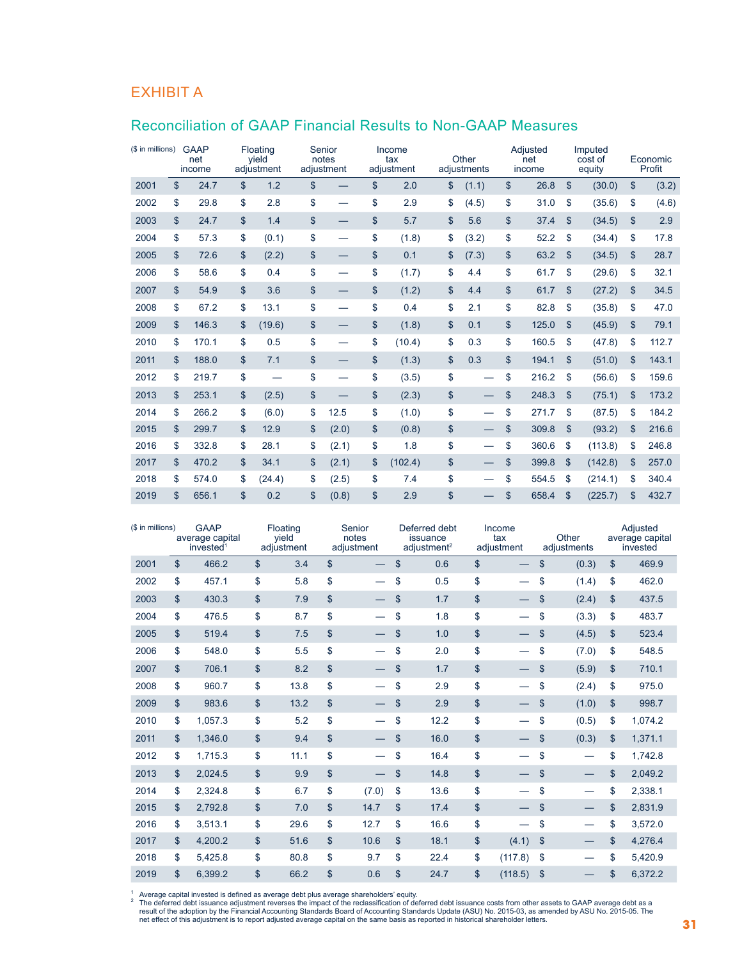## EXHIBIT A

# Reconciliation of GAAP Financial Results to Non-GAAP Measures

| (\$ in millions) | <b>GAAP</b><br>net<br>income | Floating<br>yield<br>adjustment | Senior<br>notes<br>adjustment  | Income<br>tax<br>adjustment |               | Other<br>adjustments     | Adjusted<br>net<br>income |               | Imputed<br>cost of<br>equity | Economic<br>Profit |
|------------------|------------------------------|---------------------------------|--------------------------------|-----------------------------|---------------|--------------------------|---------------------------|---------------|------------------------------|--------------------|
| 2001             | \$<br>24.7                   | \$<br>1.2                       | \$                             | \$<br>2.0                   | \$            | (1.1)                    | \$<br>26.8                | \$            | (30.0)                       | \$<br>(3.2)        |
| 2002             | \$<br>29.8                   | \$<br>2.8                       | \$                             | \$<br>2.9                   | \$            | (4.5)                    | \$<br>31.0                | \$            | (35.6)                       | \$<br>(4.6)        |
| 2003             | \$<br>24.7                   | \$<br>1.4                       | \$                             | \$<br>5.7                   | \$            | 5.6                      | \$<br>37.4                | \$            | (34.5)                       | \$<br>2.9          |
| 2004             | \$<br>57.3                   | \$<br>(0.1)                     | \$                             | \$<br>(1.8)                 | \$            | (3.2)                    | \$<br>52.2                | \$            | (34.4)                       | \$<br>17.8         |
| 2005             | \$<br>72.6                   | \$<br>(2.2)                     | \$                             | \$<br>0.1                   | \$            | (7.3)                    | \$<br>63.2                | $\mathsf{\$}$ | (34.5)                       | \$<br>28.7         |
| 2006             | \$<br>58.6                   | \$<br>0.4                       | \$<br>$\overline{\phantom{0}}$ | \$<br>(1.7)                 | \$            | 4.4                      | \$<br>61.7                | \$            | (29.6)                       | \$<br>32.1         |
| 2007             | \$<br>54.9                   | \$<br>3.6                       | \$                             | \$<br>(1.2)                 | \$            | 4.4                      | \$<br>61.7                | \$            | (27.2)                       | \$<br>34.5         |
| 2008             | \$<br>67.2                   | \$<br>13.1                      | \$<br>—                        | \$<br>0.4                   | \$            | 2.1                      | \$<br>82.8                | \$            | (35.8)                       | \$<br>47.0         |
| 2009             | \$<br>146.3                  | \$<br>(19.6)                    | \$                             | \$<br>(1.8)                 | $\mathsf{\$}$ | 0.1                      | \$<br>125.0               | $\mathsf{\$}$ | (45.9)                       | \$<br>79.1         |
| 2010             | \$<br>170.1                  | \$<br>0.5                       | \$                             | \$<br>(10.4)                | \$            | 0.3                      | \$<br>160.5               | \$            | (47.8)                       | \$<br>112.7        |
| 2011             | \$<br>188.0                  | \$<br>7.1                       | \$                             | \$<br>(1.3)                 | \$            | 0.3                      | \$<br>194.1               | \$            | (51.0)                       | \$<br>143.1        |
| 2012             | \$<br>219.7                  | \$<br>$\overline{\phantom{0}}$  | \$                             | \$<br>(3.5)                 | \$            | $\overline{\phantom{0}}$ | \$<br>216.2               | \$            | (56.6)                       | \$<br>159.6        |
| 2013             | \$<br>253.1                  | \$<br>(2.5)                     | \$                             | \$<br>(2.3)                 | \$            |                          | \$<br>248.3               | \$            | (75.1)                       | \$<br>173.2        |
| 2014             | \$<br>266.2                  | \$<br>(6.0)                     | \$<br>12.5                     | \$<br>(1.0)                 | \$            | —                        | \$<br>271.7               | \$            | (87.5)                       | \$<br>184.2        |
| 2015             | \$<br>299.7                  | \$<br>12.9                      | \$<br>(2.0)                    | \$<br>(0.8)                 | \$            | —                        | \$<br>309.8               | \$            | (93.2)                       | \$<br>216.6        |
| 2016             | \$<br>332.8                  | \$<br>28.1                      | \$<br>(2.1)                    | \$<br>1.8                   | \$            |                          | \$<br>360.6               | \$            | (113.8)                      | \$<br>246.8        |
| 2017             | \$<br>470.2                  | \$<br>34.1                      | \$<br>(2.1)                    | \$<br>(102.4)               | \$            |                          | \$<br>399.8               | \$            | (142.8)                      | \$<br>257.0        |
| 2018             | \$<br>574.0                  | \$<br>(24.4)                    | \$<br>(2.5)                    | \$<br>7.4                   | \$            |                          | \$<br>554.5               | \$            | (214.1)                      | \$<br>340.4        |
| 2019             | \$<br>656.1                  | \$<br>0.2                       | \$<br>(0.8)                    | \$<br>2.9                   | \$            |                          | \$<br>658.4               | \$            | (225.7)                      | \$<br>432.7        |

| (\$ in millions) |               | <b>GAAP</b><br>average capital<br>invested <sup>1</sup> |               | Floating<br>yield<br>adjustment |              | Senior<br>notes<br>adjustment |               | Deferred debt<br>issuance<br>adjustment <sup>2</sup> |               | Income<br>tax<br>adjustment | Other<br>adjustments |       | Adjusted<br>average capital<br>invested |         |
|------------------|---------------|---------------------------------------------------------|---------------|---------------------------------|--------------|-------------------------------|---------------|------------------------------------------------------|---------------|-----------------------------|----------------------|-------|-----------------------------------------|---------|
| 2001             | $\mathsf{\$}$ | 466.2                                                   | $\mathsf{\$}$ | 3.4                             | $\mathbb{S}$ |                               | $\mathsf{\$}$ | 0.6                                                  | $\mathsf{\$}$ |                             | $\mathsf{\$}$        | (0.3) | \$                                      | 469.9   |
| 2002             | \$            | 457.1                                                   | \$            | 5.8                             | \$           |                               | \$            | 0.5                                                  | \$            |                             | \$                   | (1.4) | \$                                      | 462.0   |
| 2003             | \$            | 430.3                                                   | $\mathbf{\$}$ | 7.9                             | \$           | $\overline{\phantom{0}}$      | \$            | 1.7                                                  | \$            |                             | $\mathsf{\$}$        | (2.4) | \$                                      | 437.5   |
| 2004             | \$            | 476.5                                                   | \$            | 8.7                             | \$           |                               | \$            | 1.8                                                  | \$            |                             | \$                   | (3.3) | \$                                      | 483.7   |
| 2005             | \$            | 519.4                                                   | $\mathbf{\$}$ | 7.5                             | \$           |                               | \$            | 1.0                                                  | \$            |                             | \$                   | (4.5) | \$                                      | 523.4   |
| 2006             | \$            | 548.0                                                   | \$            | 5.5                             | \$           |                               | \$            | 2.0                                                  | \$            |                             | \$                   | (7.0) | \$                                      | 548.5   |
| 2007             | \$            | 706.1                                                   | \$            | 8.2                             | \$           |                               | \$            | 1.7                                                  | \$            |                             | \$                   | (5.9) | \$                                      | 710.1   |
| 2008             | \$            | 960.7                                                   | \$            | 13.8                            | \$           | $\overline{\phantom{0}}$      | \$            | 2.9                                                  | \$            |                             | \$                   | (2.4) | \$                                      | 975.0   |
| 2009             | \$            | 983.6                                                   | \$            | 13.2                            | \$           |                               | \$            | 2.9                                                  | \$            |                             | \$                   | (1.0) | \$                                      | 998.7   |
| 2010             | \$            | 1,057.3                                                 | \$            | 5.2                             | \$           | $\overline{\phantom{0}}$      | \$            | 12.2                                                 | \$            |                             | \$                   | (0.5) | \$                                      | 1,074.2 |
| 2011             | \$            | 1,346.0                                                 | $\mathbf{\$}$ | 9.4                             | \$           |                               | \$            | 16.0                                                 | \$            |                             | $\mathsf{\$}$        | (0.3) | \$                                      | 1,371.1 |
| 2012             | \$            | 1,715.3                                                 | \$            | 11.1                            | \$           |                               | \$            | 16.4                                                 | \$            |                             | \$                   |       | \$                                      | 1,742.8 |
| 2013             | \$            | 2,024.5                                                 | \$            | 9.9                             | \$           |                               | \$            | 14.8                                                 | \$            |                             | $\mathsf{\$}$        |       | \$                                      | 2,049.2 |
| 2014             | \$            | 2,324.8                                                 | \$            | 6.7                             | \$           | (7.0)                         | \$            | 13.6                                                 | \$            |                             | \$                   |       | \$                                      | 2,338.1 |
| 2015             | \$            | 2,792.8                                                 | \$            | 7.0                             | \$           | 14.7                          | \$            | 17.4                                                 | \$            |                             | \$                   |       | \$                                      | 2,831.9 |
| 2016             | \$            | 3.513.1                                                 | \$            | 29.6                            | \$           | 12.7                          | \$            | 16.6                                                 | \$            |                             | \$                   |       | \$                                      | 3,572.0 |
| 2017             | \$            | 4,200.2                                                 | $\mathbf{\$}$ | 51.6                            | \$           | 10.6                          | \$            | 18.1                                                 | \$            | (4.1)                       | \$                   |       | \$                                      | 4,276.4 |
| 2018             | \$            | 5,425.8                                                 | \$            | 80.8                            | \$           | 9.7                           | \$            | 22.4                                                 | \$            | (117.8)                     | \$                   |       | \$                                      | 5,420.9 |
| 2019             | \$            | 6.399.2                                                 | \$            | 66.2                            | \$           | 0.6                           | \$            | 24.7                                                 | \$            | (118.5)                     | \$                   |       | \$                                      | 6,372.2 |

net effect of this adjustment is to report adjusted average capital on the same basis as reported in historical shareholder letters.<br>31 <sup>1</sup> Average capital invested is defined as average debt plus average shareholders' equity.<br><sup>2</sup> The deferred debt issuance adjustment reverses the impact of the reclassification of deferred debt issuance costs from other a